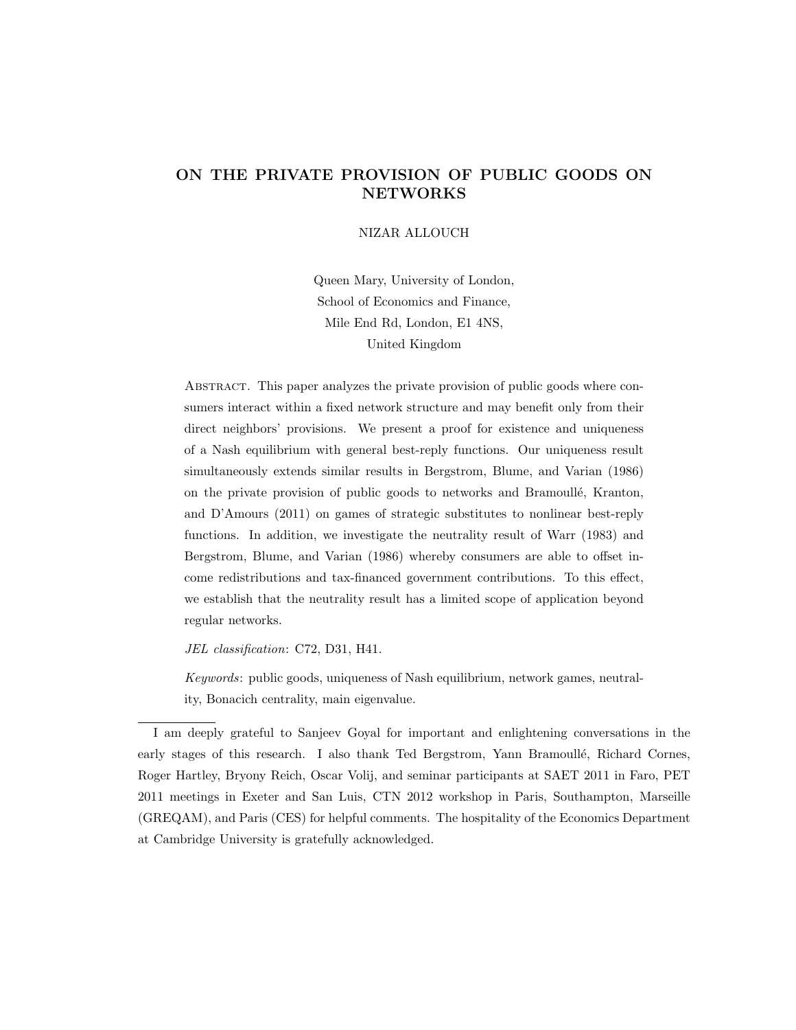# ON THE PRIVATE PROVISION OF PUBLIC GOODS ON NETWORKS

NIZAR ALLOUCH

Queen Mary, University of London, School of Economics and Finance, Mile End Rd, London, E1 4NS, United Kingdom

Abstract. This paper analyzes the private provision of public goods where consumers interact within a fixed network structure and may benefit only from their direct neighbors' provisions. We present a proof for existence and uniqueness of a Nash equilibrium with general best-reply functions. Our uniqueness result simultaneously extends similar results in Bergstrom, Blume, and Varian (1986) on the private provision of public goods to networks and Bramoullé, Kranton, and D'Amours (2011) on games of strategic substitutes to nonlinear best-reply functions. In addition, we investigate the neutrality result of Warr (1983) and Bergstrom, Blume, and Varian (1986) whereby consumers are able to offset income redistributions and tax-financed government contributions. To this effect, we establish that the neutrality result has a limited scope of application beyond regular networks.

*JEL classification*: C72, D31, H41.

*Keywords*: public goods, uniqueness of Nash equilibrium, network games, neutrality, Bonacich centrality, main eigenvalue.

I am deeply grateful to Sanjeev Goyal for important and enlightening conversations in the early stages of this research. I also thank Ted Bergstrom, Yann Bramoullé, Richard Cornes, Roger Hartley, Bryony Reich, Oscar Volij, and seminar participants at SAET 2011 in Faro, PET 2011 meetings in Exeter and San Luis, CTN 2012 workshop in Paris, Southampton, Marseille (GREQAM), and Paris (CES) for helpful comments. The hospitality of the Economics Department at Cambridge University is gratefully acknowledged.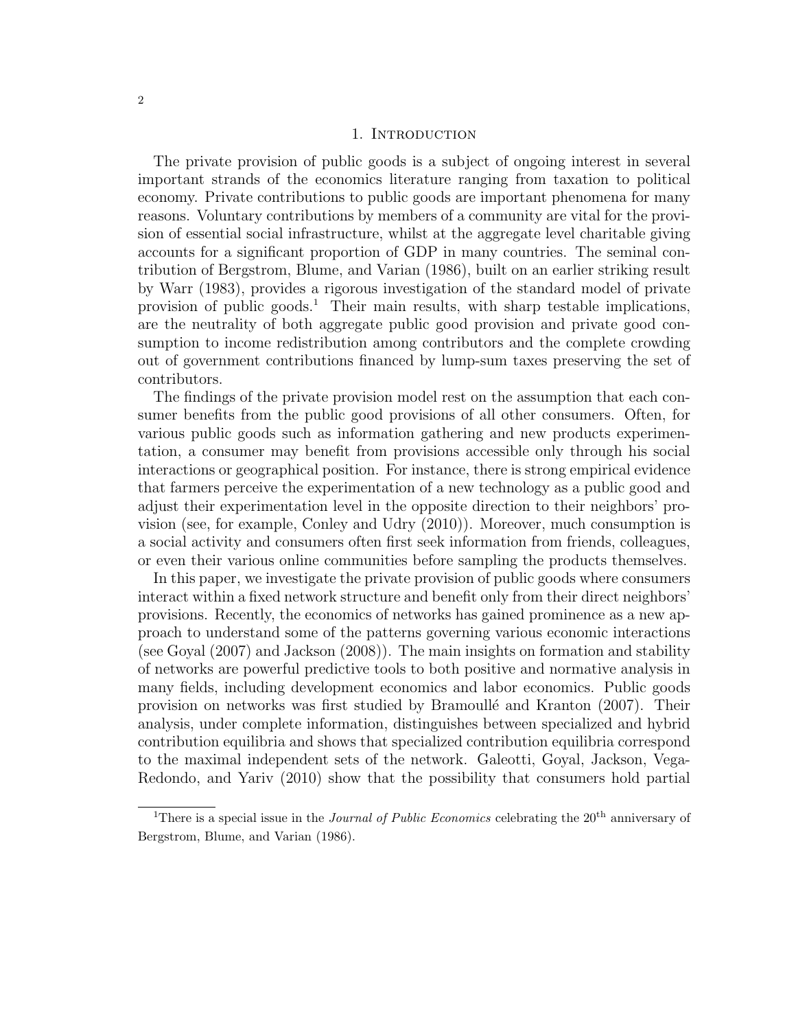#### 1. Introduction

The private provision of public goods is a subject of ongoing interest in several important strands of the economics literature ranging from taxation to political economy. Private contributions to public goods are important phenomena for many reasons. Voluntary contributions by members of a community are vital for the provision of essential social infrastructure, whilst at the aggregate level charitable giving accounts for a significant proportion of GDP in many countries. The seminal contribution of Bergstrom, Blume, and Varian (1986), built on an earlier striking result by Warr (1983), provides a rigorous investigation of the standard model of private provision of public goods.<sup>1</sup> Their main results, with sharp testable implications, are the neutrality of both aggregate public good provision and private good consumption to income redistribution among contributors and the complete crowding out of government contributions financed by lump-sum taxes preserving the set of contributors.

The findings of the private provision model rest on the assumption that each consumer benefits from the public good provisions of all other consumers. Often, for various public goods such as information gathering and new products experimentation, a consumer may benefit from provisions accessible only through his social interactions or geographical position. For instance, there is strong empirical evidence that farmers perceive the experimentation of a new technology as a public good and adjust their experimentation level in the opposite direction to their neighbors' provision (see, for example, Conley and Udry (2010)). Moreover, much consumption is a social activity and consumers often first seek information from friends, colleagues, or even their various online communities before sampling the products themselves.

In this paper, we investigate the private provision of public goods where consumers interact within a fixed network structure and benefit only from their direct neighbors' provisions. Recently, the economics of networks has gained prominence as a new approach to understand some of the patterns governing various economic interactions (see Goyal (2007) and Jackson (2008)). The main insights on formation and stability of networks are powerful predictive tools to both positive and normative analysis in many fields, including development economics and labor economics. Public goods provision on networks was first studied by Bramoull´e and Kranton (2007). Their analysis, under complete information, distinguishes between specialized and hybrid contribution equilibria and shows that specialized contribution equilibria correspond to the maximal independent sets of the network. Galeotti, Goyal, Jackson, Vega-Redondo, and Yariv (2010) show that the possibility that consumers hold partial

<sup>&</sup>lt;sup>1</sup>There is a special issue in the *Journal of Public Economics* celebrating the  $20<sup>th</sup>$  anniversary of Bergstrom, Blume, and Varian (1986).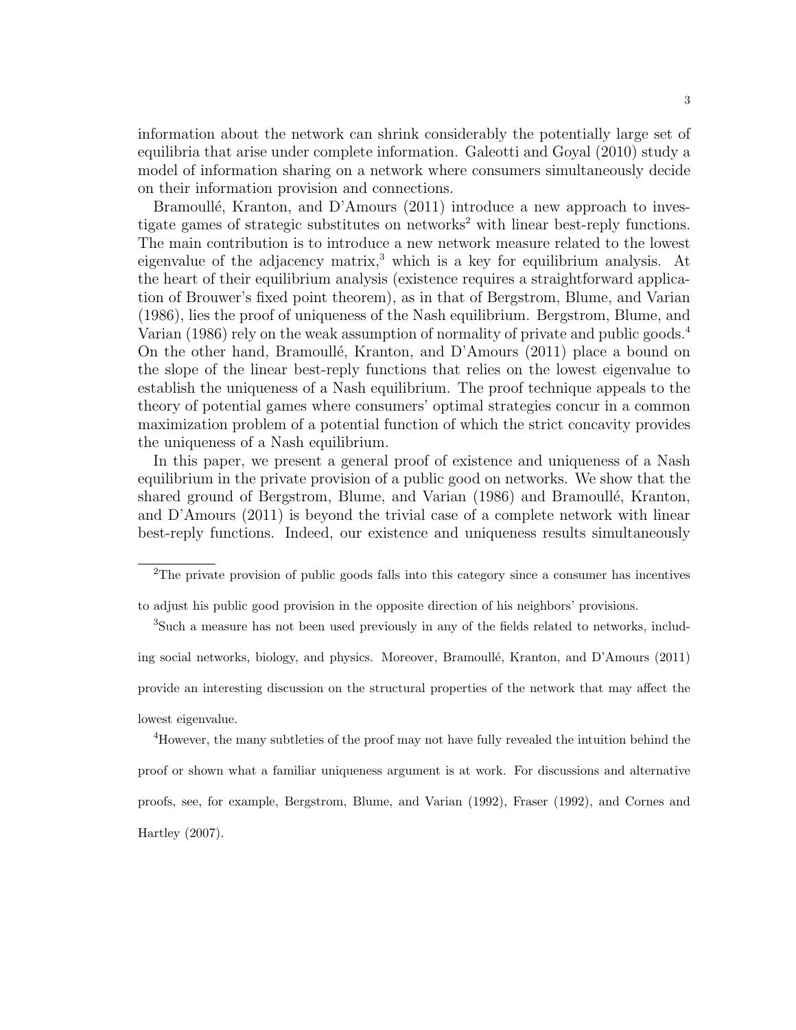information about the network can shrink considerably the potentially large set of equilibria that arise under complete information. Galeotti and Goyal (2010) study a model of information sharing on a network where consumers simultaneously decide on their information provision and connections.

Bramoullé, Kranton, and D'Amours (2011) introduce a new approach to investigate games of strategic substitutes on networks<sup>2</sup> with linear best-reply functions. The main contribution is to introduce a new network measure related to the lowest eigenvalue of the adjacency matrix,<sup>3</sup> which is a key for equilibrium analysis. At the heart of their equilibrium analysis (existence requires a straightforward application of Brouwer's fixed point theorem), as in that of Bergstrom, Blume, and Varian (1986), lies the proof of uniqueness of the Nash equilibrium. Bergstrom, Blume, and Varian (1986) rely on the weak assumption of normality of private and public goods.<sup>4</sup> On the other hand, Bramoullé, Kranton, and D'Amours (2011) place a bound on the slope of the linear best-reply functions that relies on the lowest eigenvalue to establish the uniqueness of a Nash equilibrium. The proof technique appeals to the theory of potential games where consumers' optimal strategies concur in a common maximization problem of a potential function of which the strict concavity provides the uniqueness of a Nash equilibrium.

In this paper, we present a general proof of existence and uniqueness of a Nash equilibrium in the private provision of a public good on networks. We show that the shared ground of Bergstrom, Blume, and Varian (1986) and Bramoullé, Kranton, and D'Amours (2011) is beyond the trivial case of a complete network with linear best-reply functions. Indeed, our existence and uniqueness results simultaneously

<sup>3</sup>Such a measure has not been used previously in any of the fields related to networks, includ-

ing social networks, biology, and physics. Moreover, Bramoullé, Kranton, and D'Amours (2011)

provide an interesting discussion on the structural properties of the network that may a↵ect the

lowest eigenvalue.

<sup>4</sup>However, the many subtleties of the proof may not have fully revealed the intuition behind the proof or shown what a familiar uniqueness argument is at work. For discussions and alternative proofs, see, for example, Bergstrom, Blume, and Varian (1992), Fraser (1992), and Cornes and Hartley (2007).

<sup>2</sup>The private provision of public goods falls into this category since a consumer has incentives

to adjust his public good provision in the opposite direction of his neighbors' provisions.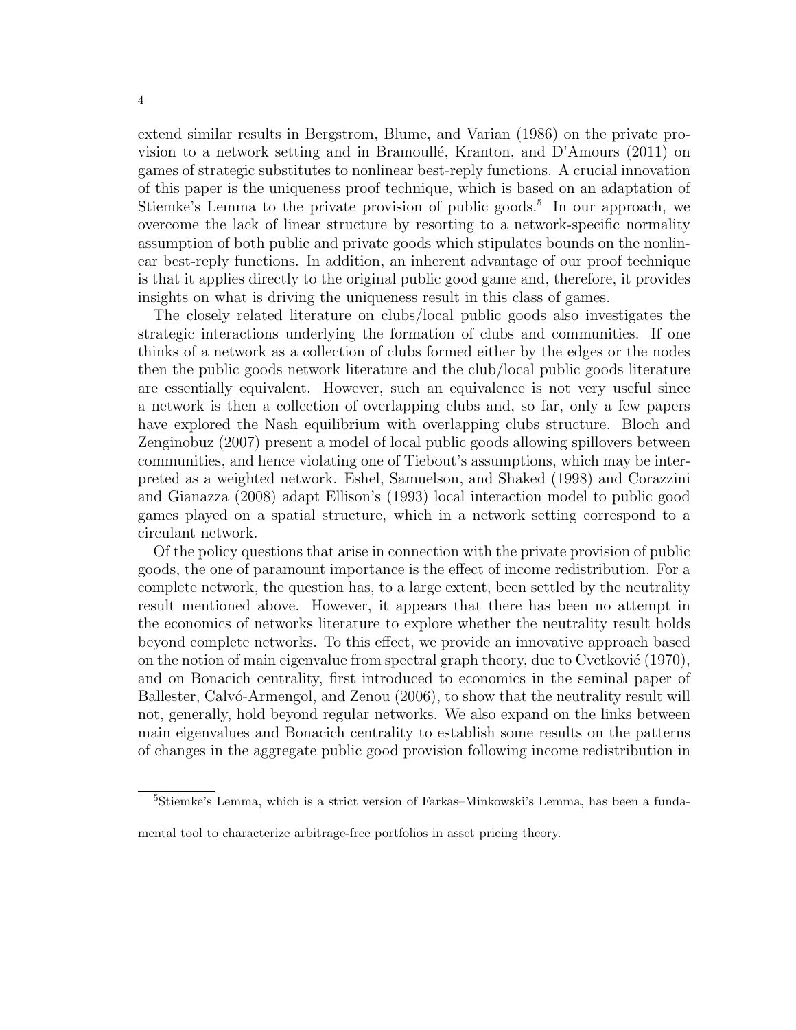extend similar results in Bergstrom, Blume, and Varian (1986) on the private provision to a network setting and in Bramoullé, Kranton, and D'Amours  $(2011)$  on games of strategic substitutes to nonlinear best-reply functions. A crucial innovation of this paper is the uniqueness proof technique, which is based on an adaptation of Stiemke's Lemma to the private provision of public goods.<sup>5</sup> In our approach, we overcome the lack of linear structure by resorting to a network-specific normality assumption of both public and private goods which stipulates bounds on the nonlinear best-reply functions. In addition, an inherent advantage of our proof technique is that it applies directly to the original public good game and, therefore, it provides insights on what is driving the uniqueness result in this class of games.

The closely related literature on clubs/local public goods also investigates the strategic interactions underlying the formation of clubs and communities. If one thinks of a network as a collection of clubs formed either by the edges or the nodes then the public goods network literature and the club/local public goods literature are essentially equivalent. However, such an equivalence is not very useful since a network is then a collection of overlapping clubs and, so far, only a few papers have explored the Nash equilibrium with overlapping clubs structure. Bloch and Zenginobuz (2007) present a model of local public goods allowing spillovers between communities, and hence violating one of Tiebout's assumptions, which may be interpreted as a weighted network. Eshel, Samuelson, and Shaked (1998) and Corazzini and Gianazza (2008) adapt Ellison's (1993) local interaction model to public good games played on a spatial structure, which in a network setting correspond to a circulant network.

Of the policy questions that arise in connection with the private provision of public goods, the one of paramount importance is the effect of income redistribution. For a complete network, the question has, to a large extent, been settled by the neutrality result mentioned above. However, it appears that there has been no attempt in the economics of networks literature to explore whether the neutrality result holds beyond complete networks. To this effect, we provide an innovative approach based on the notion of main eigenvalue from spectral graph theory, due to Cvetković  $(1970)$ , and on Bonacich centrality, first introduced to economics in the seminal paper of Ballester, Calvó-Armengol, and Zenou (2006), to show that the neutrality result will not, generally, hold beyond regular networks. We also expand on the links between main eigenvalues and Bonacich centrality to establish some results on the patterns of changes in the aggregate public good provision following income redistribution in

<sup>&</sup>lt;sup>5</sup>Stiemke's Lemma, which is a strict version of Farkas–Minkowski's Lemma, has been a funda-

mental tool to characterize arbitrage-free portfolios in asset pricing theory.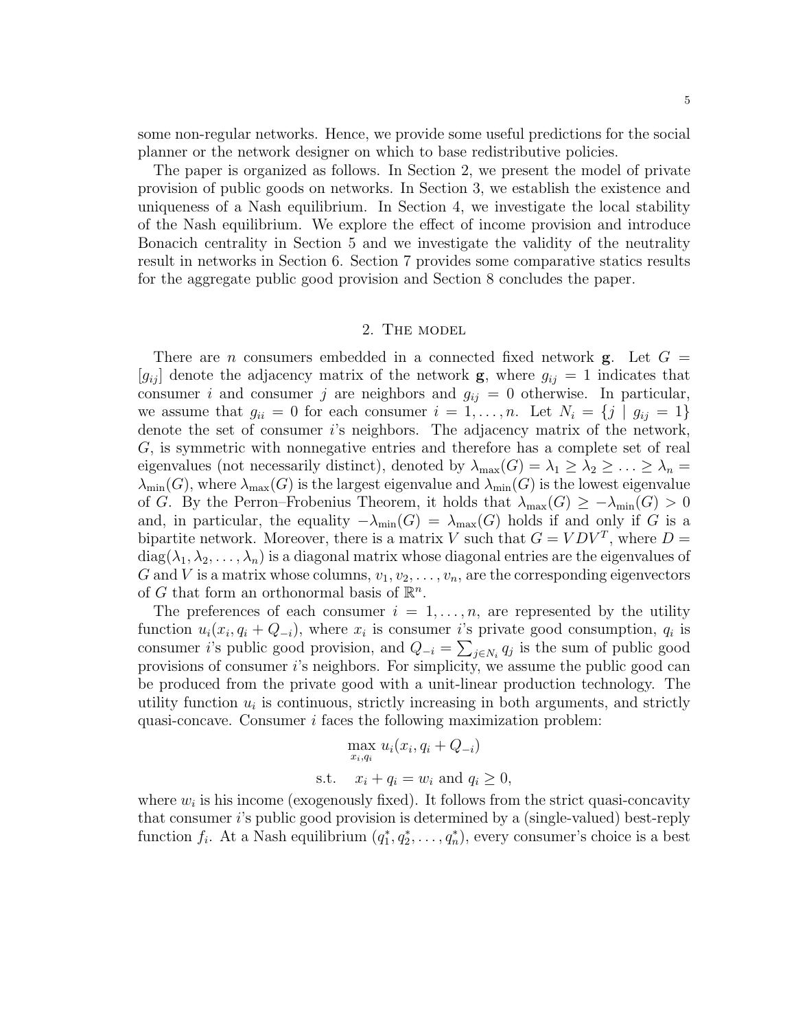some non-regular networks. Hence, we provide some useful predictions for the social planner or the network designer on which to base redistributive policies.

The paper is organized as follows. In Section 2, we present the model of private provision of public goods on networks. In Section 3, we establish the existence and uniqueness of a Nash equilibrium. In Section 4, we investigate the local stability of the Nash equilibrium. We explore the effect of income provision and introduce Bonacich centrality in Section 5 and we investigate the validity of the neutrality result in networks in Section 6. Section 7 provides some comparative statics results for the aggregate public good provision and Section 8 concludes the paper.

## 2. The model

There are *n* consumers embedded in a connected fixed network  $\mathbf{g}$ . Let  $G =$  $[g_{ij}]$  denote the adjacency matrix of the network **g**, where  $g_{ij} = 1$  indicates that consumer *i* and consumer *j* are neighbors and  $g_{ij} = 0$  otherwise. In particular, we assume that  $g_{ii} = 0$  for each consumer  $i = 1, \ldots, n$ . Let  $N_i = \{j \mid g_{ij} = 1\}$ denote the set of consumer *i*'s neighbors. The adjacency matrix of the network, *G*, is symmetric with nonnegative entries and therefore has a complete set of real eigenvalues (not necessarily distinct), denoted by  $\lambda_{\max}(G) = \lambda_1 \geq \lambda_2 \geq \ldots \geq \lambda_n =$  $\lambda_{\min}(G)$ , where  $\lambda_{\max}(G)$  is the largest eigenvalue and  $\lambda_{\min}(G)$  is the lowest eigenvalue of *G*. By the Perron–Frobenius Theorem, it holds that  $\lambda_{\max}(G) \geq -\lambda_{\min}(G) > 0$ and, in particular, the equality  $-\lambda_{\min}(G) = \lambda_{\max}(G)$  holds if and only if *G* is a bipartite network. Moreover, there is a matrix *V* such that  $G = VDV^T$ , where  $D =$  $diag(\lambda_1, \lambda_2, \ldots, \lambda_n)$  is a diagonal matrix whose diagonal entries are the eigenvalues of *G* and *V* is a matrix whose columns,  $v_1, v_2, \ldots, v_n$ , are the corresponding eigenvectors of *G* that form an orthonormal basis of  $\mathbb{R}^n$ .

The preferences of each consumer  $i = 1, \ldots, n$ , are represented by the utility function  $u_i(x_i, q_i + Q_{-i})$ , where  $x_i$  is consumer *i*'s private good consumption,  $q_i$  is consumer *i*'s public good provision, and  $Q_{-i} = \sum_{j \in N_i} q_j$  is the sum of public good provisions of consumer *i*'s neighbors. For simplicity, we assume the public good can be produced from the private good with a unit-linear production technology. The utility function  $u_i$  is continuous, strictly increasing in both arguments, and strictly quasi-concave. Consumer *i* faces the following maximization problem:

$$
\max_{x_i, q_i} u_i(x_i, q_i + Q_{-i})
$$
  
s.t.  $x_i + q_i = w_i$  and  $q_i \ge 0$ ,

where  $w_i$  is his income (exogenously fixed). It follows from the strict quasi-concavity that consumer *i*'s public good provision is determined by a (single-valued) best-reply function  $f_i$ . At a Nash equilibrium  $(q_1^*, q_2^*, \ldots, q_n^*)$ , every consumer's choice is a best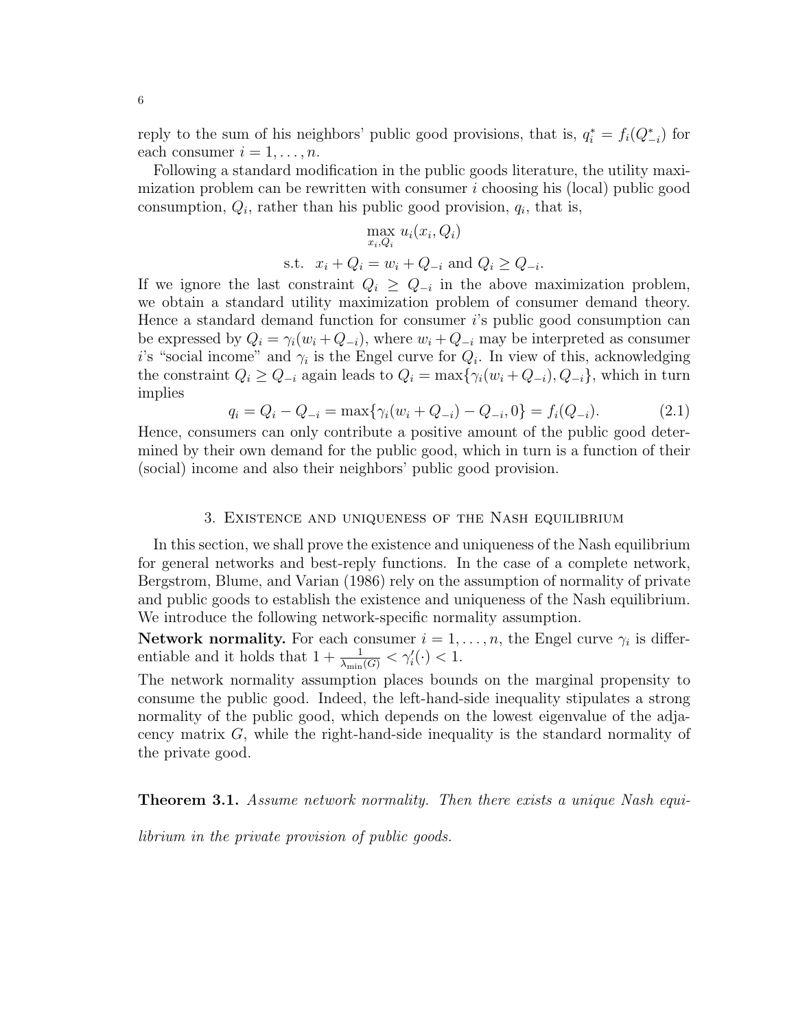reply to the sum of his neighbors' public good provisions, that is,  $q_i^* = f_i(Q_{-i}^*)$  for each consumer  $i = 1, \ldots, n$ .

Following a standard modification in the public goods literature, the utility maximization problem can be rewritten with consumer *i* choosing his (local) public good consumption,  $Q_i$ , rather than his public good provision,  $q_i$ , that is,

$$
\max_{x_i, Q_i} u_i(x_i, Q_i)
$$
  
s.t.  $x_i + Q_i = w_i + Q_{-i}$  and  $Q_i \ge Q_{-i}$ .

If we ignore the last constraint  $Q_i \geq Q_{-i}$  in the above maximization problem, we obtain a standard utility maximization problem of consumer demand theory. Hence a standard demand function for consumer *i*'s public good consumption can be expressed by  $Q_i = \gamma_i(w_i + Q_{-i})$ , where  $w_i + Q_{-i}$  may be interpreted as consumer *i*'s "social income" and  $\gamma_i$  is the Engel curve for  $Q_i$ . In view of this, acknowledging the constraint  $Q_i \geq Q_{-i}$  again leads to  $Q_i = \max\{\gamma_i(w_i + Q_{-i}), Q_{-i}\}\)$ , which in turn implies

$$
q_i = Q_i - Q_{-i} = \max\{\gamma_i(w_i + Q_{-i}) - Q_{-i}, 0\} = f_i(Q_{-i}).
$$
\n(2.1)

Hence, consumers can only contribute a positive amount of the public good determined by their own demand for the public good, which in turn is a function of their (social) income and also their neighbors' public good provision.

## 3. Existence and uniqueness of the Nash equilibrium

In this section, we shall prove the existence and uniqueness of the Nash equilibrium for general networks and best-reply functions. In the case of a complete network, Bergstrom, Blume, and Varian (1986) rely on the assumption of normality of private and public goods to establish the existence and uniqueness of the Nash equilibrium. We introduce the following network-specific normality assumption.

Network normality. For each consumer  $i = 1, \ldots, n$ , the Engel curve  $\gamma_i$  is differentiable and it holds that  $1 + \frac{1}{\lambda_{\min}(G)} < \gamma'_i(\cdot) < 1$ .

The network normality assumption places bounds on the marginal propensity to consume the public good. Indeed, the left-hand-side inequality stipulates a strong normality of the public good, which depends on the lowest eigenvalue of the adjacency matrix *G*, while the right-hand-side inequality is the standard normality of the private good.

Theorem 3.1. *Assume network normality. Then there exists a unique Nash equi-*

*librium in the private provision of public goods.*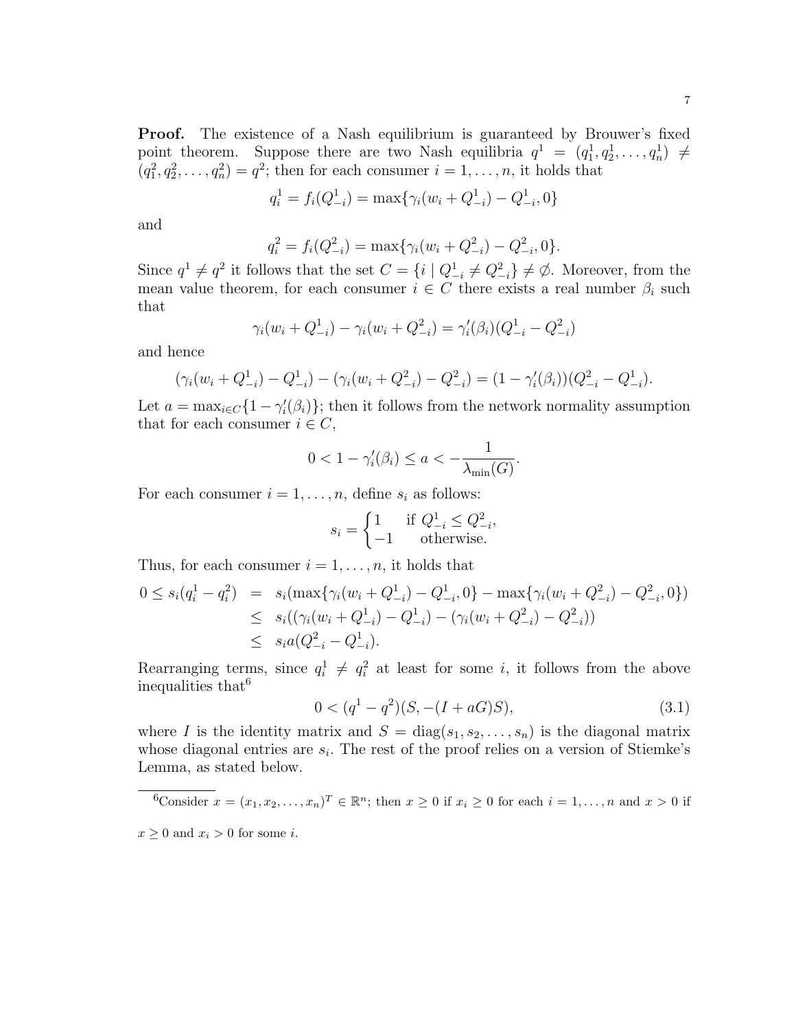**Proof.** The existence of a Nash equilibrium is guaranteed by Brouwer's fixed point theorem. Suppose there are two Nash equilibria  $q^1 = (q_1^1, q_2^1, \ldots, q_n^1) \neq$  $(q_1^2, q_2^2, \ldots, q_n^2) = q^2$ ; then for each consumer  $i = 1, \ldots, n$ , it holds that

$$
q_i^1 = f_i(Q_{-i}^1) = \max\{\gamma_i(w_i + Q_{-i}^1) - Q_{-i}^1, 0\}
$$

and

$$
q_i^2 = f_i(Q_{-i}^2) = \max\{\gamma_i(w_i + Q_{-i}^2) - Q_{-i}^2, 0\}.
$$

Since  $q^1 \neq q^2$  it follows that the set  $C = \{i \mid Q_{-i}^1 \neq Q_{-i}^2\} \neq \emptyset$ . Moreover, from the mean value theorem, for each consumer  $i \in C$  there exists a real number  $\beta_i$  such that

$$
\gamma_i(w_i + Q_{-i}^1) - \gamma_i(w_i + Q_{-i}^2) = \gamma_i'(\beta_i)(Q_{-i}^1 - Q_{-i}^2)
$$

and hence

$$
(\gamma_i(w_i + Q_{-i}^1) - Q_{-i}^1) - (\gamma_i(w_i + Q_{-i}^2) - Q_{-i}^2) = (1 - \gamma_i'(\beta_i))(Q_{-i}^2 - Q_{-i}^1).
$$

Let  $a = \max_{i \in C} \{1 - \gamma'_i(\beta_i)\}$ ; then it follows from the network normality assumption that for each consumer  $i \in C$ ,

$$
0 < 1 - \gamma_i'(\beta_i) \le a < -\frac{1}{\lambda_{\min}(G)}.
$$

For each consumer  $i = 1, \ldots, n$ , define  $s_i$  as follows:

$$
s_i = \begin{cases} 1 & \text{if } Q_{-i}^1 \le Q_{-i}^2, \\ -1 & \text{otherwise.} \end{cases}
$$

Thus, for each consumer  $i = 1, \ldots, n$ , it holds that

$$
0 \le s_i(q_i^1 - q_i^2) = s_i(\max\{\gamma_i(w_i + Q_{-i}^1) - Q_{-i}^1, 0\} - \max\{\gamma_i(w_i + Q_{-i}^2) - Q_{-i}^2, 0\})
$$
  

$$
\le s_i((\gamma_i(w_i + Q_{-i}^1) - Q_{-i}^1) - (\gamma_i(w_i + Q_{-i}^2) - Q_{-i}^2))
$$
  

$$
\le s_i a(Q_{-i}^2 - Q_{-i}^1).
$$

Rearranging terms, since  $q_i^1 \neq q_i^2$  at least for some *i*, it follows from the above inequalities that  $6$ 

$$
0 < (q^1 - q^2)(S, -(I + aG)S), \tag{3.1}
$$

where *I* is the identity matrix and  $S = diag(s_1, s_2, \ldots, s_n)$  is the diagonal matrix whose diagonal entries are *si.* The rest of the proof relies on a version of Stiemke's Lemma, as stated below.

<sup>6</sup>Consider  $x = (x_1, x_2, \ldots, x_n)^T \in \mathbb{R}^n$ ; then  $x \ge 0$  if  $x_i \ge 0$  for each  $i = 1, \ldots, n$  and  $x > 0$  if

 $x \geq 0$  and  $x_i > 0$  for some *i*.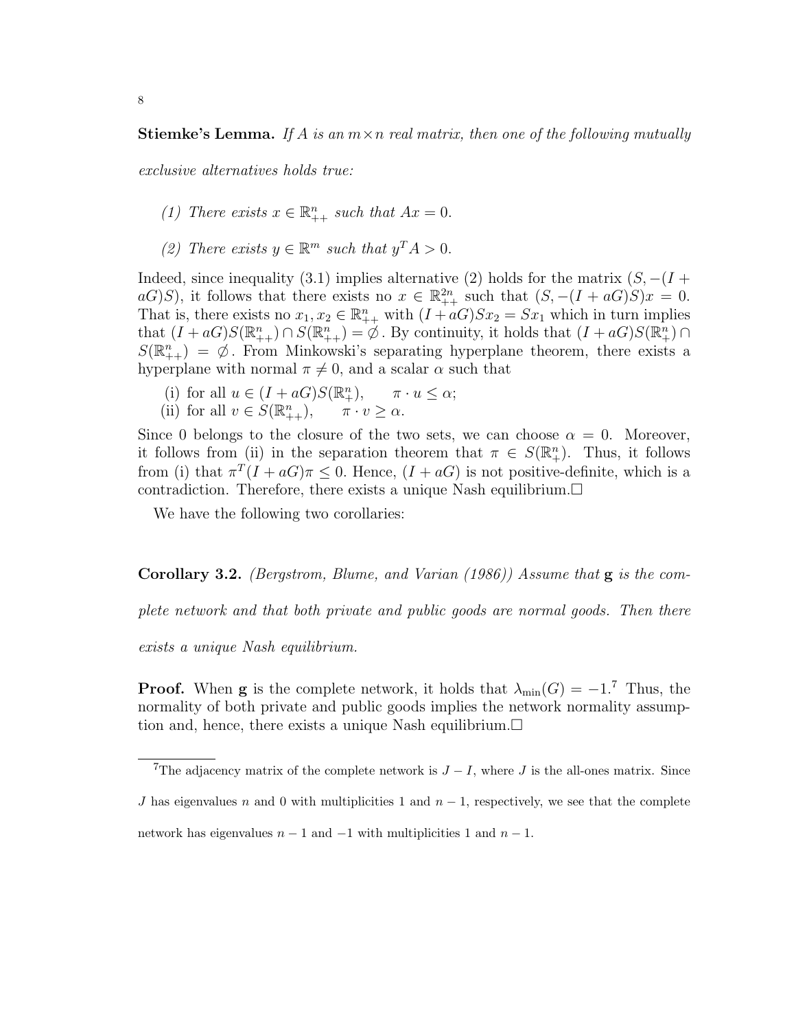*exclusive alternatives holds true:*

- (1) There exists  $x \in \mathbb{R}_{++}^n$  such that  $Ax = 0$ .
- *(2)* There exists  $y \in \mathbb{R}^m$  *such that*  $y^T A > 0$ .

Indeed, since inequality (3.1) implies alternative (2) holds for the matrix  $(S, -(I +$  $a(G)S$ , it follows that there exists no  $x \in \mathbb{R}^{2n}_{++}$  such that  $(S, -(I + aG)S)x = 0$ . That is, there exists no  $x_1, x_2 \in \mathbb{R}_{++}^n$  with  $(I + aG)Sx_2 = Sx_1$  which in turn implies that  $(I + aG)S(\mathbb{R}_{++}^n) \cap S(\mathbb{R}_{++}^n) = \emptyset$ . By continuity, it holds that  $(I + aG)S(\mathbb{R}_{+}^n) \cap S(\mathbb{R}_{++}^n)$  $S(\mathbb{R}_{++}^n) = \emptyset$ . From Minkowski's separating hyperplane theorem, there exists a hyperplane with normal  $\pi \neq 0$ , and a scalar  $\alpha$  such that

- (i) for all  $u \in (I + aG)S(\mathbb{R}^n_+), \quad \pi \cdot u \leq \alpha;$
- (ii) for all  $v \in S(\mathbb{R}^n_{++}), \quad \pi \cdot v \ge \alpha$ .

Since 0 belongs to the closure of the two sets, we can choose  $\alpha = 0$ . Moreover, it follows from (ii) in the separation theorem that  $\pi \in S(\mathbb{R}^n_+)$ . Thus, it follows from (i) that  $\pi^{T}(I + aG)\pi \leq 0$ . Hence,  $(I + aG)$  is not positive-definite, which is a contradiction. Therefore, there exists a unique Nash equilibrium. $\Box$ 

We have the following two corollaries:

Corollary 3.2. *(Bergstrom, Blume, and Varian (1986)) Assume that* g *is the com-*

*plete network and that both private and public goods are normal goods. Then there*

*exists a unique Nash equilibrium.*

**Proof.** When **g** is the complete network, it holds that  $\lambda_{\min}(G) = -1$ .<sup>7</sup> Thus, the normality of both private and public goods implies the network normality assumption and, hence, there exists a unique Nash equilibrium. $\Box$ 

<sup>&</sup>lt;sup>7</sup>The adjacency matrix of the complete network is  $J - I$ , where *J* is the all-ones matrix. Since *J* has eigenvalues *n* and 0 with multiplicities 1 and  $n-1$ , respectively, we see that the complete network has eigenvalues  $n-1$  and  $-1$  with multiplicities 1 and  $n-1$ .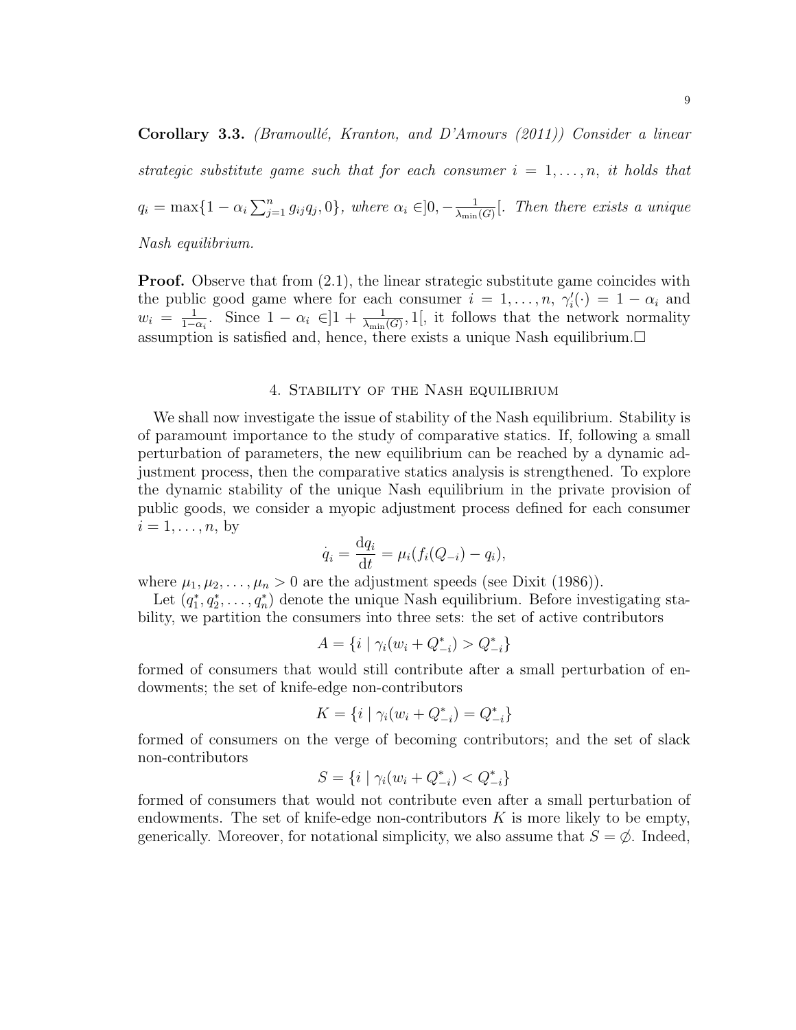Corollary 3.3. *(Bramoull´e, Kranton, and D'Amours (2011)) Consider a linear strategic substitute game such that for each consumer*  $i = 1, \ldots, n$ , *it holds that*  $q_i = \max\{1 - \alpha_i \sum_{j=1}^n g_{ij}q_j, 0\}$ , where  $\alpha_i \in ]0, -\frac{1}{\lambda_{\min}(G)}[$ . Then there exists a unique

*Nash equilibrium.*

**Proof.** Observe that from  $(2.1)$ , the linear strategic substitute game coincides with the public good game where for each consumer  $i = 1, \ldots, n, \gamma'_i(\cdot) = 1 - \alpha_i$  and  $w_i = \frac{1}{1-\alpha_i}$ . Since  $1-\alpha_i \in ]1+\frac{1}{\lambda_{\min}(G)}, 1[$ , it follows that the network normality assumption is satisfied and, hence, there exists a unique Nash equilibrium. $\Box$ 

# 4. Stability of the Nash equilibrium

We shall now investigate the issue of stability of the Nash equilibrium. Stability is of paramount importance to the study of comparative statics. If, following a small perturbation of parameters, the new equilibrium can be reached by a dynamic adjustment process, then the comparative statics analysis is strengthened. To explore the dynamic stability of the unique Nash equilibrium in the private provision of public goods, we consider a myopic adjustment process defined for each consumer  $i = 1, \ldots, n$ , by

$$
\dot{q}_i = \frac{\mathrm{d}q_i}{\mathrm{d}t} = \mu_i(f_i(Q_{-i}) - q_i),
$$

where  $\mu_1, \mu_2, \ldots, \mu_n > 0$  are the adjustment speeds (see Dixit (1986)).

Let  $(q_1^*, q_2^*, \ldots, q_n^*)$  denote the unique Nash equilibrium. Before investigating stability, we partition the consumers into three sets: the set of active contributors

$$
A = \{ i \mid \gamma_i(w_i + Q_{-i}^*) > Q_{-i}^* \}
$$

formed of consumers that would still contribute after a small perturbation of endowments; the set of knife-edge non-contributors

$$
K = \{ i \mid \gamma_i(w_i + Q_{-i}^*) = Q_{-i}^* \}
$$

formed of consumers on the verge of becoming contributors; and the set of slack non-contributors

$$
S = \{ i \mid \gamma_i(w_i + Q_{-i}^*) < Q_{-i}^* \}
$$

formed of consumers that would not contribute even after a small perturbation of endowments. The set of knife-edge non-contributors  $K$  is more likely to be empty, generically. Moreover, for notational simplicity, we also assume that  $S = \emptyset$ . Indeed,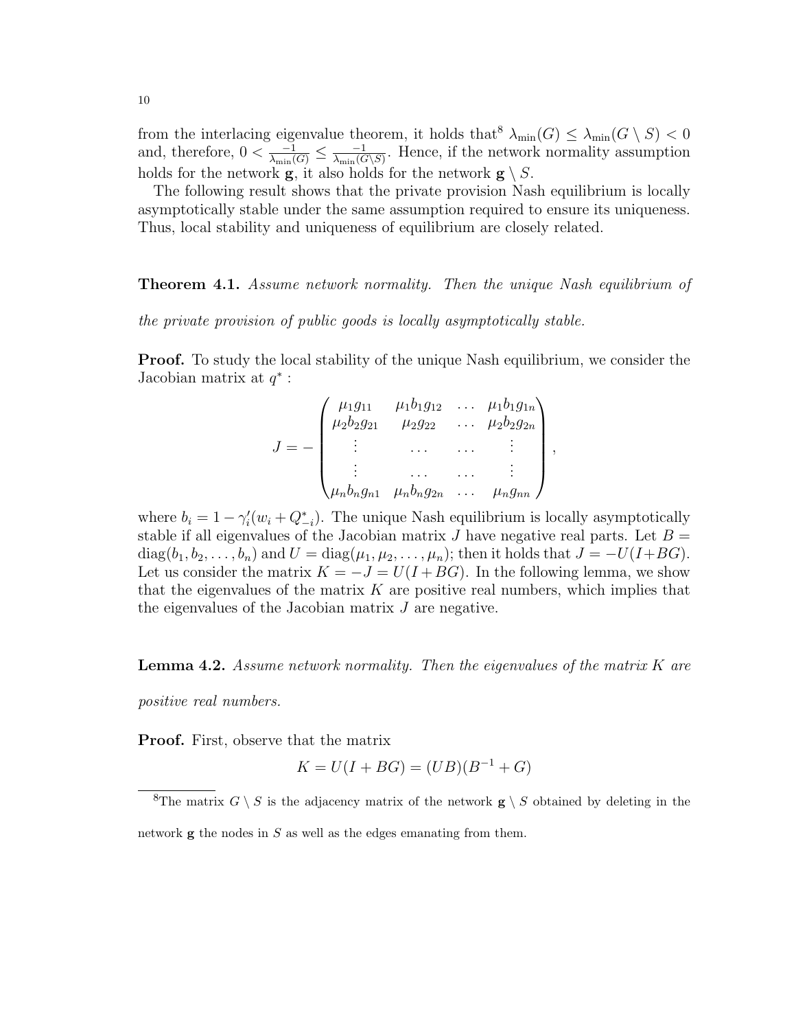from the interlacing eigenvalue theorem, it holds that  $\lambda_{\min}(G) \leq \lambda_{\min}(G \setminus S) < 0$ and, therefore,  $0 < \frac{-1}{\lambda_{\min}(G)} \leq \frac{-1}{\lambda_{\min}(G \setminus S)}$ . Hence, if the network normality assumption holds for the network **g**, it also holds for the network **g**  $\setminus$  *S*.

The following result shows that the private provision Nash equilibrium is locally asymptotically stable under the same assumption required to ensure its uniqueness. Thus, local stability and uniqueness of equilibrium are closely related.

Theorem 4.1. *Assume network normality. Then the unique Nash equilibrium of*

*the private provision of public goods is locally asymptotically stable.*

**Proof.** To study the local stability of the unique Nash equilibrium, we consider the Jacobian matrix at  $q^*$  :

|                                                          |               | $\begin{pmatrix} \mu_1 g_{11} & \mu_1 b_1 g_{12} & \dots & \mu_1 b_1 g_{1n} \\ \mu_2 b_2 g_{21} & \mu_2 g_{22} & \dots & \mu_2 b_2 g_{2n} \end{pmatrix}$ |
|----------------------------------------------------------|---------------|----------------------------------------------------------------------------------------------------------------------------------------------------------|
|                                                          |               |                                                                                                                                                          |
|                                                          |               |                                                                                                                                                          |
|                                                          |               |                                                                                                                                                          |
| $\big\backslash \mu_n b_n g_{n1} \quad \mu_n b_n g_{2n}$ | $\sim$ $\sim$ | $\mu_n g_{nn}$                                                                                                                                           |

*,*

where  $b_i = 1 - \gamma_i'(w_i + Q_{-i}^*)$ . The unique Nash equilibrium is locally asymptotically stable if all eigenvalues of the Jacobian matrix  $J$  have negative real parts. Let  $B =$  $diag(b_1, b_2, \ldots, b_n)$  and  $U = diag(\mu_1, \mu_2, \ldots, \mu_n)$ ; then it holds that  $J = -U(I + BG)$ . Let us consider the matrix  $K = -J = U(I + BG)$ . In the following lemma, we show that the eigenvalues of the matrix *K* are positive real numbers, which implies that the eigenvalues of the Jacobian matrix *J* are negative.

Lemma 4.2. *Assume network normality. Then the eigenvalues of the matrix K are*

*positive real numbers.*

Proof. First, observe that the matrix

$$
K = U(I + BG) = (UB)(B^{-1} + G)
$$

<sup>8</sup>The matrix  $G \setminus S$  is the adjacency matrix of the network  $g \setminus S$  obtained by deleting in the network **g** the nodes in *S* as well as the edges emanating from them.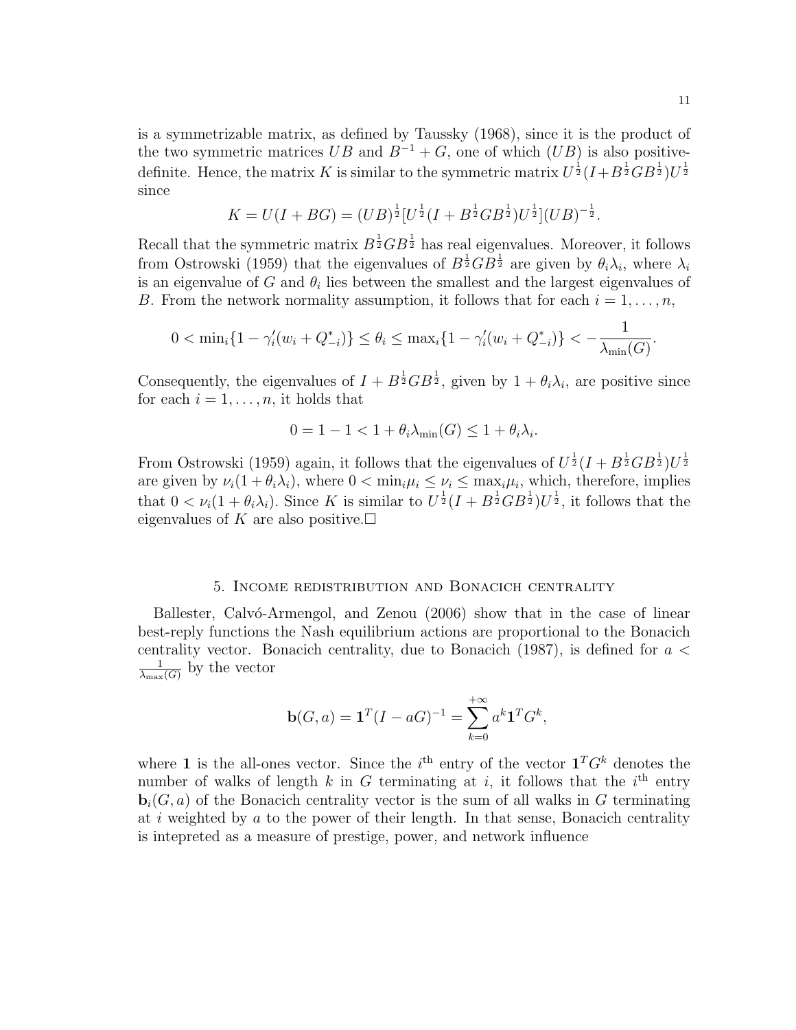is a symmetrizable matrix, as defined by Taussky (1968), since it is the product of the two symmetric matrices  $UB$  and  $B^{-1} + G$ , one of which  $(UB)$  is also positivedefinite. Hence, the matrix *K* is similar to the symmetric matrix  $U^{\frac{1}{2}}(I + B^{\frac{1}{2}}GB^{\frac{1}{2}})U^{\frac{1}{2}}$ since

$$
K = U(I + BG) = (UB)^{\frac{1}{2}}[U^{\frac{1}{2}}(I + B^{\frac{1}{2}}GB^{\frac{1}{2}})U^{\frac{1}{2}}](UB)^{-\frac{1}{2}}.
$$

Recall that the symmetric matrix  $B^{\frac{1}{2}}GB^{\frac{1}{2}}$  has real eigenvalues. Moreover, it follows from Ostrowski (1959) that the eigenvalues of  $B^{\frac{1}{2}}GB^{\frac{1}{2}}$  are given by  $\theta_i\lambda_i$ , where  $\lambda_i$ is an eigenvalue of *G* and  $\theta_i$  lies between the smallest and the largest eigenvalues of *B*. From the network normality assumption, it follows that for each  $i = 1, \ldots, n$ ,

$$
0 < \min_{i} \{ 1 - \gamma_i'(w_i + Q_{-i}^*) \} \le \theta_i \le \max_{i} \{ 1 - \gamma_i'(w_i + Q_{-i}^*) \} < -\frac{1}{\lambda_{\min}(G)}.
$$

Consequently, the eigenvalues of  $I + B^{\frac{1}{2}}GB^{\frac{1}{2}}$ , given by  $1 + \theta_i \lambda_i$ , are positive since for each  $i = 1, \ldots, n$ , it holds that

$$
0 = 1 - 1 < 1 + \theta_i \lambda_{\min}(G) \leq 1 + \theta_i \lambda_i.
$$

From Ostrowski (1959) again, it follows that the eigenvalues of  $U^{\frac{1}{2}}(I + B^{\frac{1}{2}}GB^{\frac{1}{2}})U^{\frac{1}{2}}$ are given by  $\nu_i(1 + \theta_i \lambda_i)$ , where  $0 < \min_i \mu_i \leq \nu_i \leq \max_i \mu_i$ , which, therefore, implies that  $0 < \nu_i(1 + \theta_i \lambda_i)$ . Since K is similar to  $U^{\frac{1}{2}}(I + B^{\frac{1}{2}}GB^{\frac{1}{2}})U^{\frac{1}{2}}$ , it follows that the eigenvalues of  $K$  are also positive. $\square$ 

## 5. Income redistribution and Bonacich centrality

Ballester, Calvó-Armengol, and Zenou (2006) show that in the case of linear best-reply functions the Nash equilibrium actions are proportional to the Bonacich centrality vector. Bonacich centrality, due to Bonacich (1987), is defined for *a <*  $\frac{1}{\lambda_{\max}(G)}$  by the vector

$$
\mathbf{b}(G, a) = \mathbf{1}^T (I - aG)^{-1} = \sum_{k=0}^{+\infty} a^k \mathbf{1}^T G^k,
$$

where 1 is the all-ones vector. Since the *i*<sup>th</sup> entry of the vector  $1^T G^k$  denotes the number of walks of length  $k$  in  $G$  terminating at  $i$ , it follows that the  $i<sup>th</sup>$  entry  $\mathbf{b}_i(G, a)$  of the Bonacich centrality vector is the sum of all walks in *G* terminating at *i* weighted by *a* to the power of their length. In that sense, Bonacich centrality is intepreted as a measure of prestige, power, and network influence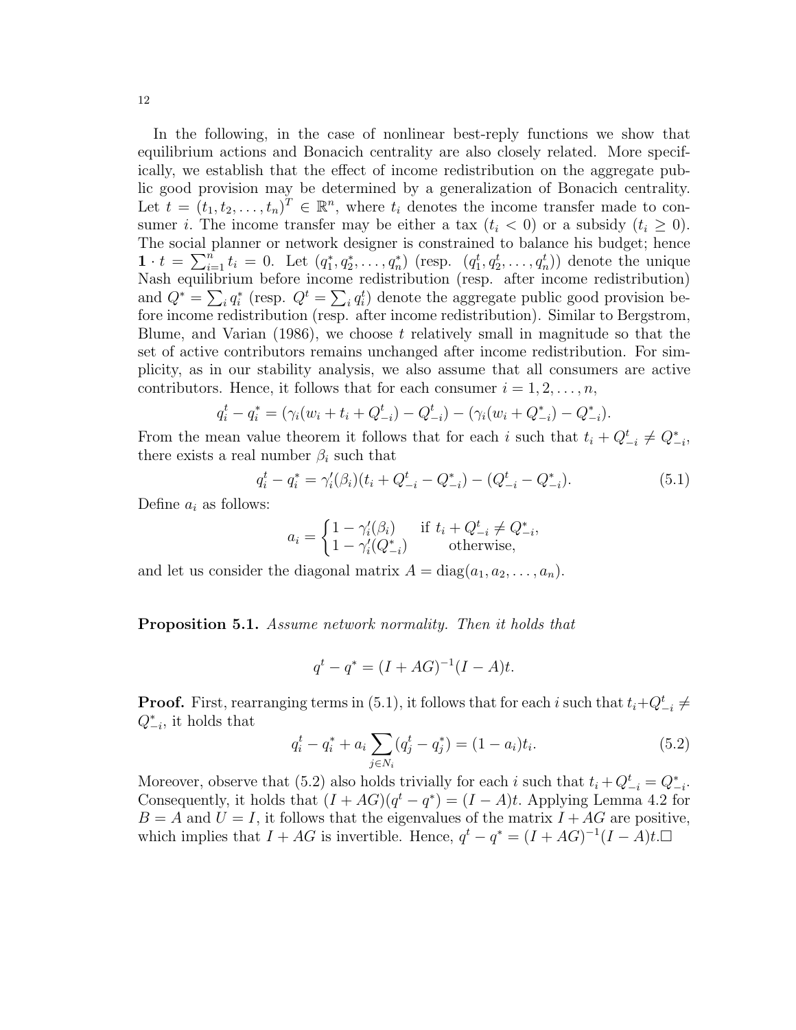In the following, in the case of nonlinear best-reply functions we show that equilibrium actions and Bonacich centrality are also closely related. More specifically, we establish that the effect of income redistribution on the aggregate public good provision may be determined by a generalization of Bonacich centrality. Let  $t = (t_1, t_2, \ldots, t_n)^T \in \mathbb{R}^n$ , where  $t_i$  denotes the income transfer made to consumer *i*. The income transfer may be either a tax  $(t_i < 0)$  or a subsidy  $(t_i \geq 0)$ . The social planner or network designer is constrained to balance his budget; hence  $\mathbf{1} \cdot t = \sum_{i=1}^{n} t_i = 0.$  Let  $(q_1^*, q_2^*, \ldots, q_n^*)$  (resp.  $(q_1^t, q_2^t, \ldots, q_n^t)$ ) denote the unique Nash equilibrium before income redistribution (resp. after income redistribution) and  $Q^* = \sum_i q_i^*$  (resp.  $Q^t = \sum_i q_i^t$ ) denote the aggregate public good provision before income redistribution (resp. after income redistribution). Similar to Bergstrom, Blume, and Varian (1986), we choose *t* relatively small in magnitude so that the set of active contributors remains unchanged after income redistribution. For simplicity, as in our stability analysis, we also assume that all consumers are active contributors. Hence, it follows that for each consumer  $i = 1, 2, \ldots, n$ ,

$$
q_i^t - q_i^* = (\gamma_i(w_i + t_i + Q_{-i}^t) - Q_{-i}^t) - (\gamma_i(w_i + Q_{-i}^*) - Q_{-i}^*).
$$

From the mean value theorem it follows that for each *i* such that  $t_i + Q_{-i}^t \neq Q_{-i}^*$ , there exists a real number  $\beta_i$  such that

$$
q_i^t - q_i^* = \gamma_i'(\beta_i)(t_i + Q_{-i}^t - Q_{-i}^*) - (Q_{-i}^t - Q_{-i}^*).
$$
\n(5.1)

Define *a<sup>i</sup>* as follows:

$$
a_i = \begin{cases} 1 - \gamma_i'(\beta_i) & \text{if } t_i + Q_{-i}^t \neq Q_{-i}^*, \\ 1 - \gamma_i'(Q_{-i}^*) & \text{otherwise,} \end{cases}
$$

and let us consider the diagonal matrix  $A = diag(a_1, a_2, \ldots, a_n)$ .

Proposition 5.1. *Assume network normality. Then it holds that*

$$
q^t - q^* = (I + AG)^{-1}(I - A)t.
$$

**Proof.** First, rearranging terms in (5.1), it follows that for each *i* such that  $t_i + Q_{-i}^t \neq$  $Q_{-i}^*$ , it holds that

$$
q_i^t - q_i^* + a_i \sum_{j \in N_i} (q_j^t - q_j^*) = (1 - a_i)t_i.
$$
 (5.2)

Moreover, observe that (5.2) also holds trivially for each *i* such that  $t_i + Q_{-i}^t = Q_{-i}^*$ . Consequently, it holds that  $(I + AG)(q^t - q^*) = (I - A)t$ . Applying Lemma 4.2 for  $B = A$  and  $U = I$ , it follows that the eigenvalues of the matrix  $I + AG$  are positive, which implies that  $I + AG$  is invertible. Hence,  $q^t - q^* = (I + AG)^{-1}(I - A)t$ .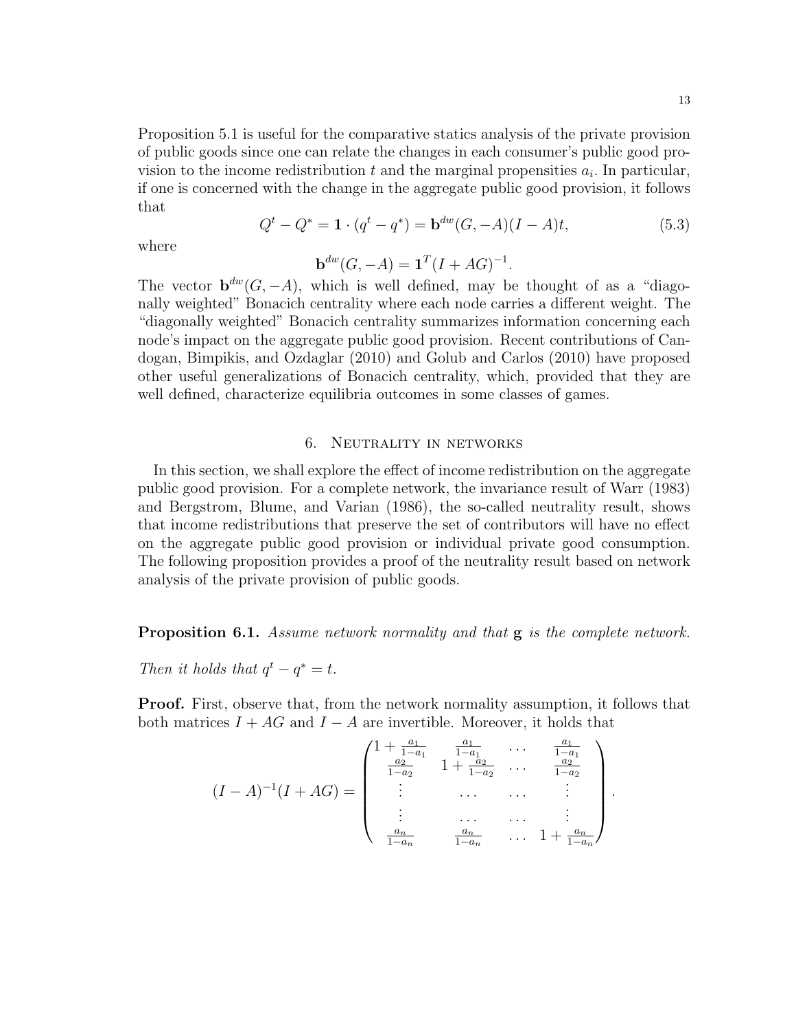Proposition 5.1 is useful for the comparative statics analysis of the private provision of public goods since one can relate the changes in each consumer's public good provision to the income redistribution  $t$  and the marginal propensities  $a_i$ . In particular, if one is concerned with the change in the aggregate public good provision, it follows that

$$
Q^{t} - Q^{*} = \mathbf{1} \cdot (q^{t} - q^{*}) = \mathbf{b}^{dw}(G, -A)(I - A)t,
$$
\n(5.3)

where

$$
\mathbf{b}^{dw}(G, -A) = \mathbf{1}^T(I + AG)^{-1}.
$$

The vector  $\mathbf{b}^{dw}(G, -A)$ , which is well defined, may be thought of as a "diagonally weighted" Bonacich centrality where each node carries a different weight. The "diagonally weighted" Bonacich centrality summarizes information concerning each node's impact on the aggregate public good provision. Recent contributions of Candogan, Bimpikis, and Ozdaglar (2010) and Golub and Carlos (2010) have proposed other useful generalizations of Bonacich centrality, which, provided that they are well defined, characterize equilibria outcomes in some classes of games.

# 6. Neutrality in networks

In this section, we shall explore the effect of income redistribution on the aggregate public good provision. For a complete network, the invariance result of Warr (1983) and Bergstrom, Blume, and Varian (1986), the so-called neutrality result, shows that income redistributions that preserve the set of contributors will have no effect on the aggregate public good provision or individual private good consumption. The following proposition provides a proof of the neutrality result based on network analysis of the private provision of public goods.

## Proposition 6.1. *Assume network normality and that* g *is the complete network.*

*Then it holds that*  $q^t - q^* = t$ .

Proof. First, observe that, from the network normality assumption, it follows that both matrices  $I + AG$  and  $I - A$  are invertible. Moreover, it holds that

$$
(I-A)^{-1}(I+AG) = \begin{pmatrix} 1+\frac{a_1}{1-a_1} & \frac{a_1}{1-a_1} & \cdots & \frac{a_1}{1-a_1} \\ \frac{a_2}{1-a_2} & 1+\frac{a_2}{1-a_2} & \cdots & \frac{a_2}{1-a_2} \\ \vdots & \cdots & \cdots & \vdots \\ \frac{a_n}{1-a_n} & \frac{a_n}{1-a_n} & \cdots & 1+\frac{a_n}{1-a_n} \end{pmatrix}.
$$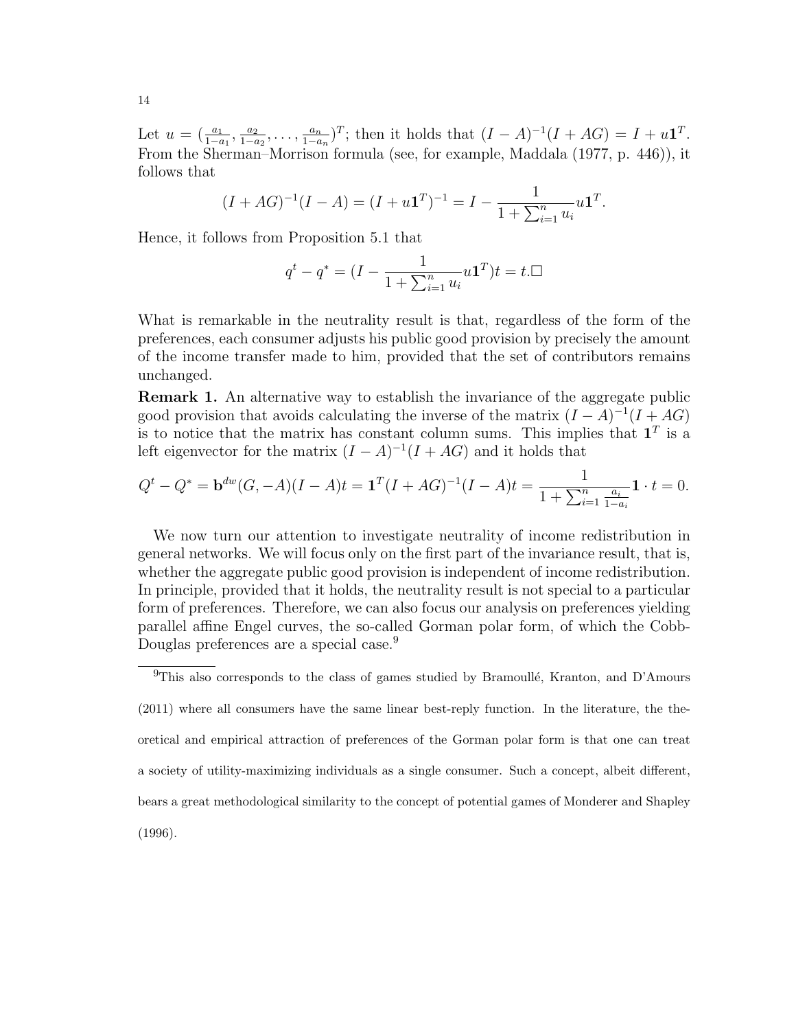Let  $u = (\frac{a_1}{1-a_1}, \frac{a_2}{1-a_2}, \dots, \frac{a_n}{1-a_n})^T$ ; then it holds that  $(I - A)^{-1}(I + AG) = I + uI^T$ . From the Sherman–Morrison formula (see, for example, Maddala (1977, p. 446)), it follows that

$$
(I + AG)^{-1}(I - A) = (I + u\mathbf{1}^T)^{-1} = I - \frac{1}{1 + \sum_{i=1}^n u_i} u\mathbf{1}^T.
$$

Hence, it follows from Proposition 5.1 that

$$
q^{t} - q^{*} = (I - \frac{1}{1 + \sum_{i=1}^{n} u_i} u \mathbf{1}^{T}) t = t. \Box
$$

What is remarkable in the neutrality result is that, regardless of the form of the preferences, each consumer adjusts his public good provision by precisely the amount of the income transfer made to him, provided that the set of contributors remains unchanged.

**Remark 1.** An alternative way to establish the invariance of the aggregate public good provision that avoids calculating the inverse of the matrix  $(I - A)^{-1}(I + AG)$ is to notice that the matrix has constant column sums. This implies that  $\mathbf{1}^T$  is a left eigenvector for the matrix  $(I - A)^{-1}(I + AG)$  and it holds that

$$
Q^{t} - Q^{*} = \mathbf{b}^{dw}(G, -A)(I - A)t = \mathbf{1}^{T}(I + AG)^{-1}(I - A)t = \frac{1}{1 + \sum_{i=1}^{n} \frac{a_{i}}{1 - a_{i}}} \mathbf{1} \cdot t = 0.
$$

We now turn our attention to investigate neutrality of income redistribution in general networks. We will focus only on the first part of the invariance result, that is, whether the aggregate public good provision is independent of income redistribution. In principle, provided that it holds, the neutrality result is not special to a particular form of preferences. Therefore, we can also focus our analysis on preferences yielding parallel affine Engel curves, the so-called Gorman polar form, of which the Cobb-Douglas preferences are a special case.<sup>9</sup>

 $9$ This also corresponds to the class of games studied by Bramoullé, Kranton, and D'Amours (2011) where all consumers have the same linear best-reply function. In the literature, the theoretical and empirical attraction of preferences of the Gorman polar form is that one can treat a society of utility-maximizing individuals as a single consumer. Such a concept, albeit different, bears a great methodological similarity to the concept of potential games of Monderer and Shapley (1996).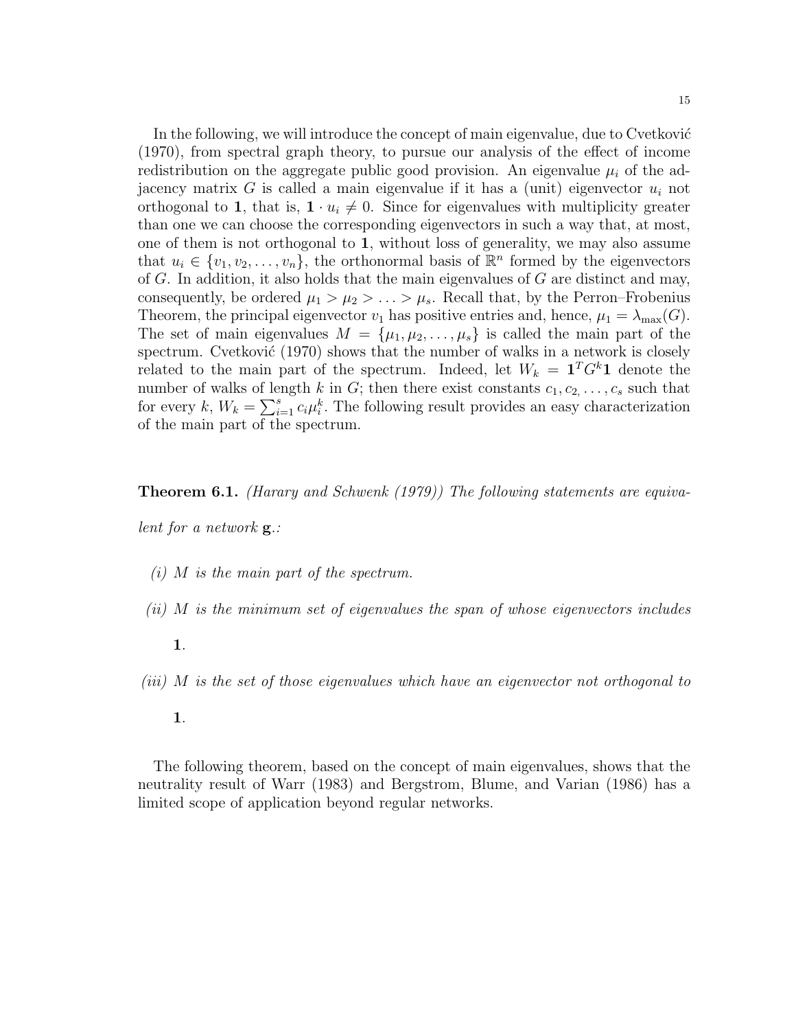In the following, we will introduce the concept of main eigenvalue, due to Cvetković  $(1970)$ , from spectral graph theory, to pursue our analysis of the effect of income redistribution on the aggregate public good provision. An eigenvalue  $\mu_i$  of the adjacency matrix *G* is called a main eigenvalue if it has a (unit) eigenvector *u<sup>i</sup>* not orthogonal to 1, that is,  $1 \cdot u_i \neq 0$ . Since for eigenvalues with multiplicity greater than one we can choose the corresponding eigenvectors in such a way that, at most, one of them is not orthogonal to 1, without loss of generality, we may also assume that  $u_i \in \{v_1, v_2, \ldots, v_n\}$ , the orthonormal basis of  $\mathbb{R}^n$  formed by the eigenvectors of *G*. In addition, it also holds that the main eigenvalues of *G* are distinct and may, consequently, be ordered  $\mu_1 > \mu_2 > \ldots > \mu_s$ . Recall that, by the Perron–Frobenius Theorem, the principal eigenvector  $v_1$  has positive entries and, hence,  $\mu_1 = \lambda_{\max}(G)$ . The set of main eigenvalues  $M = {\mu_1, \mu_2, ..., \mu_s}$  is called the main part of the spectrum. Cvetković  $(1970)$  shows that the number of walks in a network is closely related to the main part of the spectrum. Indeed, let  $W_k = \mathbf{1}^T G^k \mathbf{1}$  denote the number of walks of length *k* in *G*; then there exist constants  $c_1, c_2, \ldots, c_s$  such that for every  $k$ ,  $W_k = \sum_{i=1}^s c_i \mu_i^k$ . The following result provides an easy characterization of the main part of the spectrum.

Theorem 6.1. *(Harary and Schwenk (1979)) The following statements are equiva-*

*lent for a network* g*.:*

- *(i) M is the main part of the spectrum.*
- *(ii) M is the minimum set of eigenvalues the span of whose eigenvectors includes*
	- 1*.*

*(iii) M is the set of those eigenvalues which have an eigenvector not orthogonal to*

1*.*

The following theorem, based on the concept of main eigenvalues, shows that the neutrality result of Warr (1983) and Bergstrom, Blume, and Varian (1986) has a limited scope of application beyond regular networks.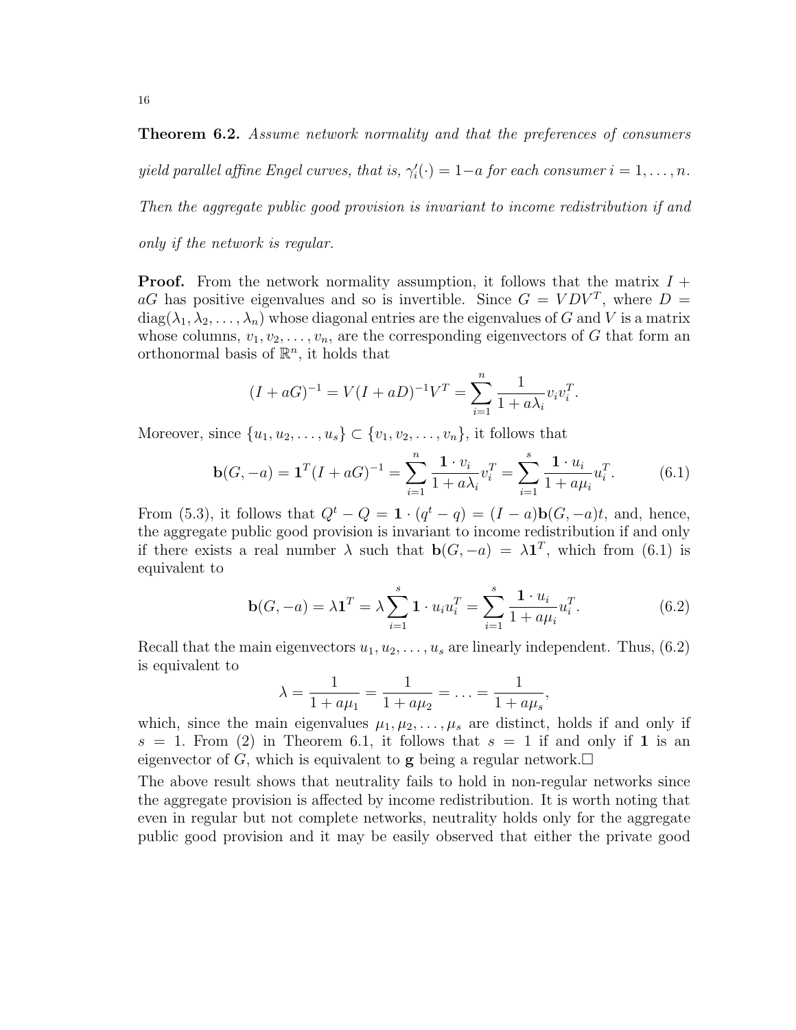Theorem 6.2. *Assume network normality and that the preferences of consumers yield parallel affine Engel curves, that is,*  $\gamma_i'(\cdot) = 1 - a$  *for each consumer*  $i = 1, \ldots, n$ *. Then the aggregate public good provision is invariant to income redistribution if and only if the network is regular.*

Proof. From the network normality assumption, it follows that the matrix *I* +  $aG$  has positive eigenvalues and so is invertible. Since  $G = VDV^T$ , where  $D =$  $diag(\lambda_1, \lambda_2, \ldots, \lambda_n)$  whose diagonal entries are the eigenvalues of *G* and *V* is a matrix whose columns,  $v_1, v_2, \ldots, v_n$ , are the corresponding eigenvectors of *G* that form an orthonormal basis of  $\mathbb{R}^n$ , it holds that

$$
(I + aG)^{-1} = V(I + aD)^{-1}V^{T} = \sum_{i=1}^{n} \frac{1}{1 + a\lambda_i} v_i v_i^{T}.
$$

Moreover, since  $\{u_1, u_2, \ldots, u_s\} \subset \{v_1, v_2, \ldots, v_n\}$ , it follows that

$$
\mathbf{b}(G, -a) = \mathbf{1}^T (I + aG)^{-1} = \sum_{i=1}^n \frac{\mathbf{1} \cdot v_i}{1 + a\lambda_i} v_i^T = \sum_{i=1}^s \frac{\mathbf{1} \cdot u_i}{1 + a\mu_i} u_i^T. \tag{6.1}
$$

From (5.3), it follows that  $Q^t - Q = \mathbf{1} \cdot (q^t - q) = (I - a)\mathbf{b}(G, -a)t$ , and, hence, the aggregate public good provision is invariant to income redistribution if and only if there exists a real number  $\lambda$  such that  $\mathbf{b}(G, -a) = \lambda \mathbf{1}^T$ , which from (6.1) is equivalent to

$$
\mathbf{b}(G, -a) = \lambda \mathbf{1}^T = \lambda \sum_{i=1}^s \mathbf{1} \cdot u_i u_i^T = \sum_{i=1}^s \frac{\mathbf{1} \cdot u_i}{1 + a \mu_i} u_i^T.
$$
 (6.2)

Recall that the main eigenvectors  $u_1, u_2, \ldots, u_s$  are linearly independent. Thus,  $(6.2)$ is equivalent to

$$
\lambda = \frac{1}{1 + a\mu_1} = \frac{1}{1 + a\mu_2} = \ldots = \frac{1}{1 + a\mu_s},
$$

which, since the main eigenvalues  $\mu_1, \mu_2, \ldots, \mu_s$  are distinct, holds if and only if  $s = 1$ . From (2) in Theorem 6.1, it follows that  $s = 1$  if and only if 1 is an eigenvector of *G*, which is equivalent to **g** being a regular network. $\Box$ 

The above result shows that neutrality fails to hold in non-regular networks since the aggregate provision is affected by income redistribution. It is worth noting that even in regular but not complete networks, neutrality holds only for the aggregate public good provision and it may be easily observed that either the private good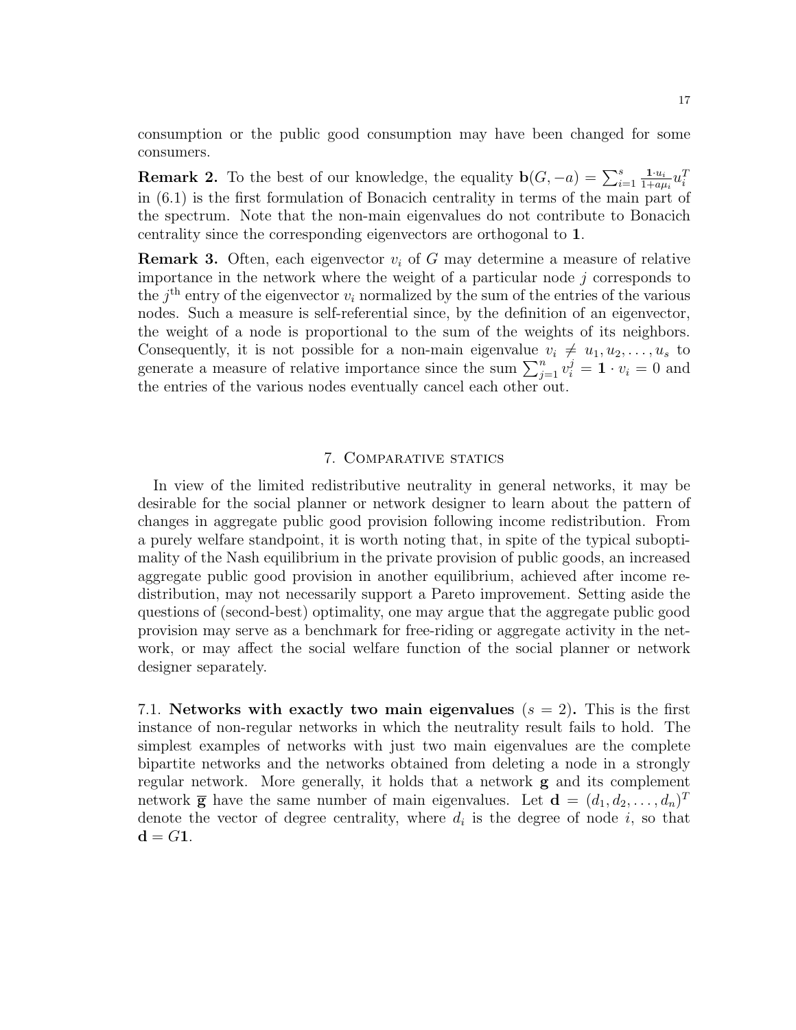consumption or the public good consumption may have been changed for some consumers.

**Remark 2.** To the best of our knowledge, the equality  $\mathbf{b}(G, -a) = \sum_{i=1}^{s} \frac{\mathbf{1} \cdot u_i}{1 + a \mu_i} u_i^T$ in (6.1) is the first formulation of Bonacich centrality in terms of the main part of the spectrum. Note that the non-main eigenvalues do not contribute to Bonacich centrality since the corresponding eigenvectors are orthogonal to 1.

Remark 3. Often, each eigenvector *v<sup>i</sup>* of *G* may determine a measure of relative importance in the network where the weight of a particular node *j* corresponds to the  $j<sup>th</sup>$  entry of the eigenvector  $v_i$  normalized by the sum of the entries of the various nodes. Such a measure is self-referential since, by the definition of an eigenvector, the weight of a node is proportional to the sum of the weights of its neighbors. Consequently, it is not possible for a non-main eigenvalue  $v_i \neq u_1, u_2, \ldots, u_s$  to generate a measure of relative importance since the sum  $\sum_{j=1}^{n} v_i^j = 1 \cdot v_i = 0$  and the entries of the various nodes eventually cancel each other out.

# 7. COMPARATIVE STATICS

In view of the limited redistributive neutrality in general networks, it may be desirable for the social planner or network designer to learn about the pattern of changes in aggregate public good provision following income redistribution. From a purely welfare standpoint, it is worth noting that, in spite of the typical suboptimality of the Nash equilibrium in the private provision of public goods, an increased aggregate public good provision in another equilibrium, achieved after income redistribution, may not necessarily support a Pareto improvement. Setting aside the questions of (second-best) optimality, one may argue that the aggregate public good provision may serve as a benchmark for free-riding or aggregate activity in the network, or may affect the social welfare function of the social planner or network designer separately.

7.1. Networks with exactly two main eigenvalues  $(s = 2)$ . This is the first instance of non-regular networks in which the neutrality result fails to hold. The simplest examples of networks with just two main eigenvalues are the complete bipartite networks and the networks obtained from deleting a node in a strongly regular network. More generally, it holds that a network g and its complement network  $\bar{g}$  have the same number of main eigenvalues. Let  $\mathbf{d} = (d_1, d_2, \ldots, d_n)^T$ denote the vector of degree centrality, where  $d_i$  is the degree of node  $i$ , so that  $d = G1$ .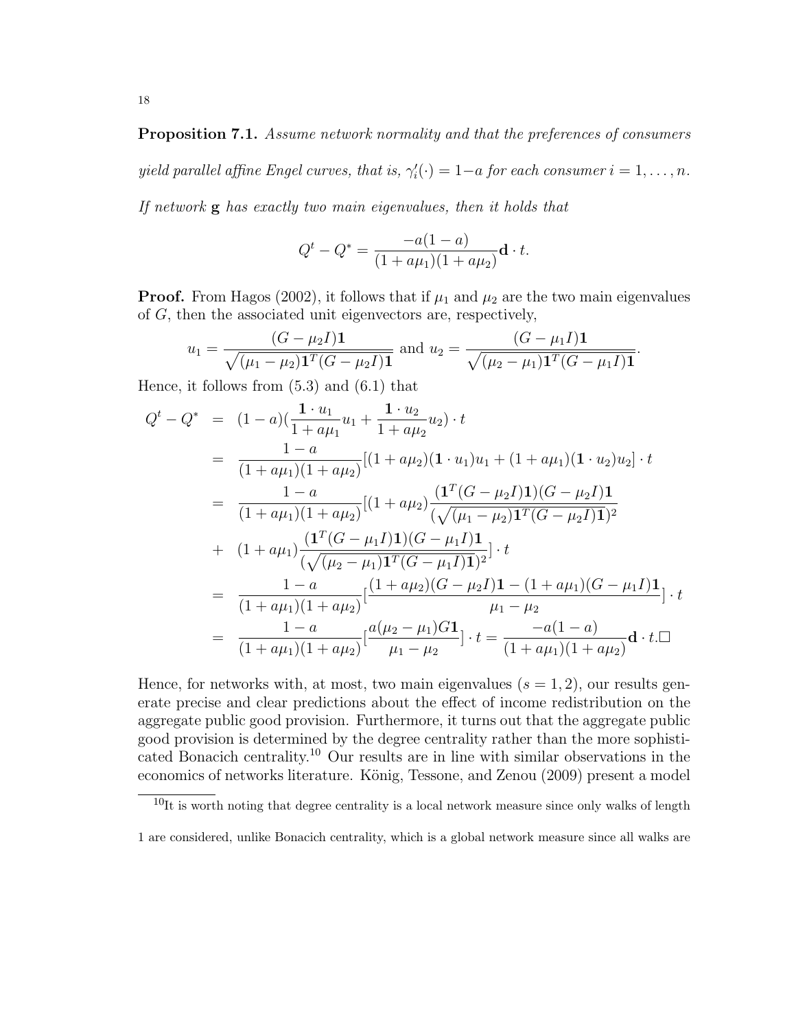Proposition 7.1. *Assume network normality and that the preferences of consumers*

*yield parallel affine Engel curves, that is,*  $\gamma_i'(\cdot) = 1 - a$  *for each consumer*  $i = 1, \ldots, n$ *.* 

*If network* g *has exactly two main eigenvalues, then it holds that*

$$
Q^{t} - Q^{*} = \frac{-a(1-a)}{(1+a\mu_{1})(1+a\mu_{2})}\mathbf{d} \cdot t.
$$

**Proof.** From Hagos (2002), it follows that if  $\mu_1$  and  $\mu_2$  are the two main eigenvalues of *G*, then the associated unit eigenvectors are, respectively,

$$
u_1 = \frac{(G - \mu_2 I)\mathbf{1}}{\sqrt{(\mu_1 - \mu_2)\mathbf{1}^T (G - \mu_2 I)\mathbf{1}}} \text{ and } u_2 = \frac{(G - \mu_1 I)\mathbf{1}}{\sqrt{(\mu_2 - \mu_1)\mathbf{1}^T (G - \mu_1 I)\mathbf{1}}}
$$

*.*

Hence, it follows from (5.3) and (6.1) that

$$
Q^{t} - Q^{*} = (1 - a)(\frac{1 \cdot u_{1}}{1 + a\mu_{1}}u_{1} + \frac{1 \cdot u_{2}}{1 + a\mu_{2}}u_{2}) \cdot t
$$
  
\n
$$
= \frac{1 - a}{(1 + a\mu_{1})(1 + a\mu_{2})}[(1 + a\mu_{2})(1 \cdot u_{1})u_{1} + (1 + a\mu_{1})(1 \cdot u_{2})u_{2}] \cdot t
$$
  
\n
$$
= \frac{1 - a}{(1 + a\mu_{1})(1 + a\mu_{2})}[(1 + a\mu_{2})\frac{(1^{T}(G - \mu_{2}I)\mathbf{1})(G - \mu_{2}I)\mathbf{1}}{(\sqrt{(\mu_{1} - \mu_{2})\mathbf{1}^{T}(G - \mu_{2}I)\mathbf{1}})^{2}}]
$$
  
\n+  $(1 + a\mu_{1})\frac{(1^{T}(G - \mu_{1}I)\mathbf{1})(G - \mu_{1}I)\mathbf{1}}{(\sqrt{(\mu_{2} - \mu_{1})\mathbf{1}^{T}(G - \mu_{1}I)\mathbf{1}})^{2}}] \cdot t$   
\n
$$
= \frac{1 - a}{(1 + a\mu_{1})(1 + a\mu_{2})}[\frac{(1 + a\mu_{2})(G - \mu_{2}I)\mathbf{1} - (1 + a\mu_{1})(G - \mu_{1}I)\mathbf{1}}{\mu_{1} - \mu_{2}}] \cdot t
$$
  
\n
$$
= \frac{1 - a}{(1 + a\mu_{1})(1 + a\mu_{2})}[\frac{a(\mu_{2} - \mu_{1})G\mathbf{1}}{\mu_{1} - \mu_{2}}] \cdot t = \frac{-a(1 - a)}{(1 + a\mu_{1})(1 + a\mu_{2})}d \cdot t
$$

Hence, for networks with, at most, two main eigenvalues  $(s = 1, 2)$ , our results generate precise and clear predictions about the effect of income redistribution on the aggregate public good provision. Furthermore, it turns out that the aggregate public good provision is determined by the degree centrality rather than the more sophisticated Bonacich centrality.<sup>10</sup> Our results are in line with similar observations in the economics of networks literature. König, Tessone, and Zenou (2009) present a model

 $10$ It is worth noting that degree centrality is a local network measure since only walks of length

<sup>1</sup> are considered, unlike Bonacich centrality, which is a global network measure since all walks are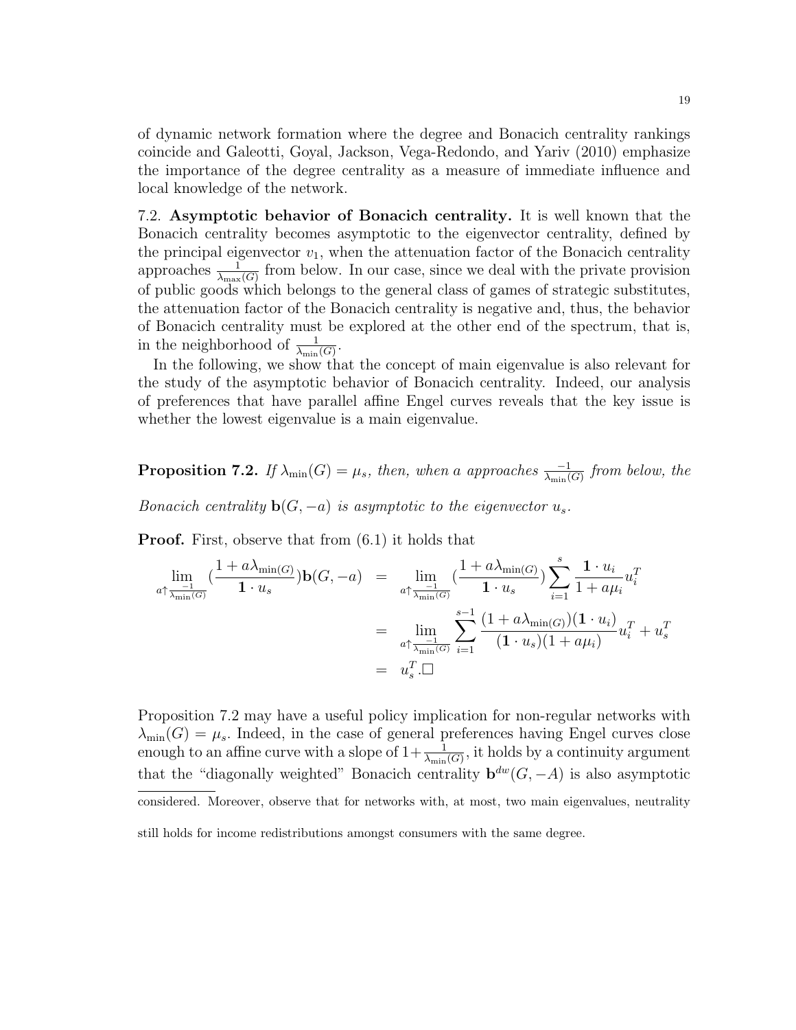of dynamic network formation where the degree and Bonacich centrality rankings coincide and Galeotti, Goyal, Jackson, Vega-Redondo, and Yariv (2010) emphasize the importance of the degree centrality as a measure of immediate influence and local knowledge of the network.

7.2. Asymptotic behavior of Bonacich centrality. It is well known that the Bonacich centrality becomes asymptotic to the eigenvector centrality, defined by the principal eigenvector  $v_1$ , when the attenuation factor of the Bonacich centrality approaches  $\frac{1}{\lambda_{\max}(G)}$  from below. In our case, since we deal with the private provision of public goods which belongs to the general class of games of strategic substitutes, the attenuation factor of the Bonacich centrality is negative and, thus, the behavior of Bonacich centrality must be explored at the other end of the spectrum, that is, in the neighborhood of  $\frac{1}{\lambda_{\min}(G)}$ .

In the following, we show that the concept of main eigenvalue is also relevant for the study of the asymptotic behavior of Bonacich centrality. Indeed, our analysis of preferences that have parallel affine Engel curves reveals that the key issue is whether the lowest eigenvalue is a main eigenvalue.

**Proposition 7.2.** If  $\lambda_{\min}(G) = \mu_s$ , then, when a approaches  $\frac{-1}{\lambda_{\min}(G)}$  from below, the *Bonacich centrality*  $\mathbf{b}(G, -a)$  *is asymptotic to the eigenvector*  $u_s$ *.* 

**Proof.** First, observe that from  $(6.1)$  it holds that

$$
\lim_{a \uparrow \frac{1}{\lambda_{\min}(G)}} \left( \frac{1 + a\lambda_{\min}(G)}{\mathbf{1} \cdot u_s} \right) \mathbf{b}(G, -a) = \lim_{\substack{a \uparrow \frac{-1}{\lambda_{\min}(G)}}} \left( \frac{1 + a\lambda_{\min}(G)}{\mathbf{1} \cdot u_s} \right) \sum_{i=1}^s \frac{\mathbf{1} \cdot u_i}{1 + a\mu_i} u_i^T
$$
\n
$$
= \lim_{\substack{a \uparrow \frac{-1}{\lambda_{\min}(G)}}} \sum_{i=1}^{s-1} \frac{(1 + a\lambda_{\min}(G))(1 \cdot u_i)}{(1 \cdot u_s)(1 + a\mu_i)} u_i^T + u_s^T
$$
\n
$$
= u_s^T \cdot \Box
$$

Proposition 7.2 may have a useful policy implication for non-regular networks with  $\lambda_{\min}(G) = \mu_s$ . Indeed, in the case of general preferences having Engel curves close enough to an affine curve with a slope of  $1+\frac{1}{\lambda_{\min}(G)}$ , it holds by a continuity argument that the "diagonally weighted" Bonacich centrality  $\mathbf{b}^{dw}(G, -A)$  is also asymptotic considered. Moreover, observe that for networks with, at most, two main eigenvalues, neutrality still holds for income redistributions amongst consumers with the same degree.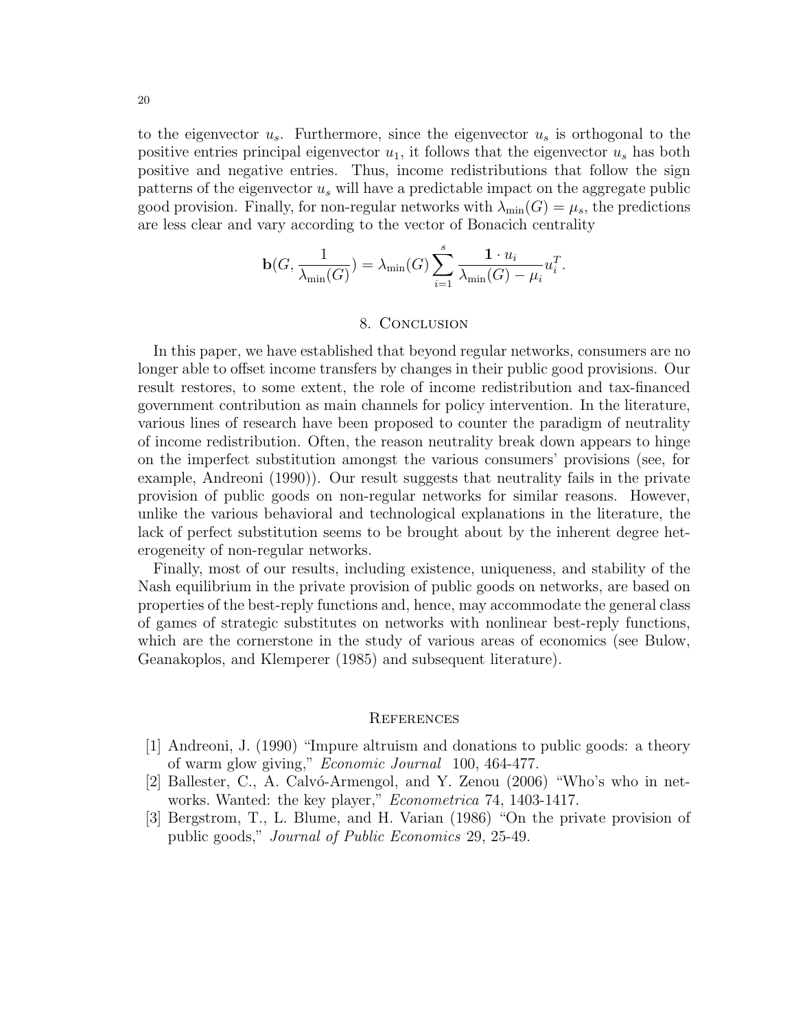to the eigenvector  $u_s$ . Furthermore, since the eigenvector  $u_s$  is orthogonal to the positive entries principal eigenvector  $u_1$ , it follows that the eigenvector  $u_s$  has both positive and negative entries. Thus, income redistributions that follow the sign patterns of the eigenvector *u<sup>s</sup>* will have a predictable impact on the aggregate public good provision. Finally, for non-regular networks with  $\lambda_{\min}(G) = \mu_s$ , the predictions are less clear and vary according to the vector of Bonacich centrality

$$
\mathbf{b}(G, \frac{1}{\lambda_{\min}(G)}) = \lambda_{\min}(G) \sum_{i=1}^{s} \frac{\mathbf{1} \cdot u_i}{\lambda_{\min}(G) - \mu_i} u_i^T.
$$

#### 8. Conclusion

In this paper, we have established that beyond regular networks, consumers are no longer able to offset income transfers by changes in their public good provisions. Our result restores, to some extent, the role of income redistribution and tax-financed government contribution as main channels for policy intervention. In the literature, various lines of research have been proposed to counter the paradigm of neutrality of income redistribution. Often, the reason neutrality break down appears to hinge on the imperfect substitution amongst the various consumers' provisions (see, for example, Andreoni (1990)). Our result suggests that neutrality fails in the private provision of public goods on non-regular networks for similar reasons. However, unlike the various behavioral and technological explanations in the literature, the lack of perfect substitution seems to be brought about by the inherent degree heterogeneity of non-regular networks.

Finally, most of our results, including existence, uniqueness, and stability of the Nash equilibrium in the private provision of public goods on networks, are based on properties of the best-reply functions and, hence, may accommodate the general class of games of strategic substitutes on networks with nonlinear best-reply functions, which are the cornerstone in the study of various areas of economics (see Bulow, Geanakoplos, and Klemperer (1985) and subsequent literature).

#### **REFERENCES**

- [1] Andreoni, J. (1990) "Impure altruism and donations to public goods: a theory of warm glow giving," *Economic Journal* 100, 464-477.
- [2] Ballester, C., A. Calvó-Armengol, and Y. Zenou  $(2006)$  "Who's who in networks. Wanted: the key player," *Econometrica* 74, 1403-1417.
- [3] Bergstrom, T., L. Blume, and H. Varian (1986) "On the private provision of public goods," *Journal of Public Economics* 29, 25-49.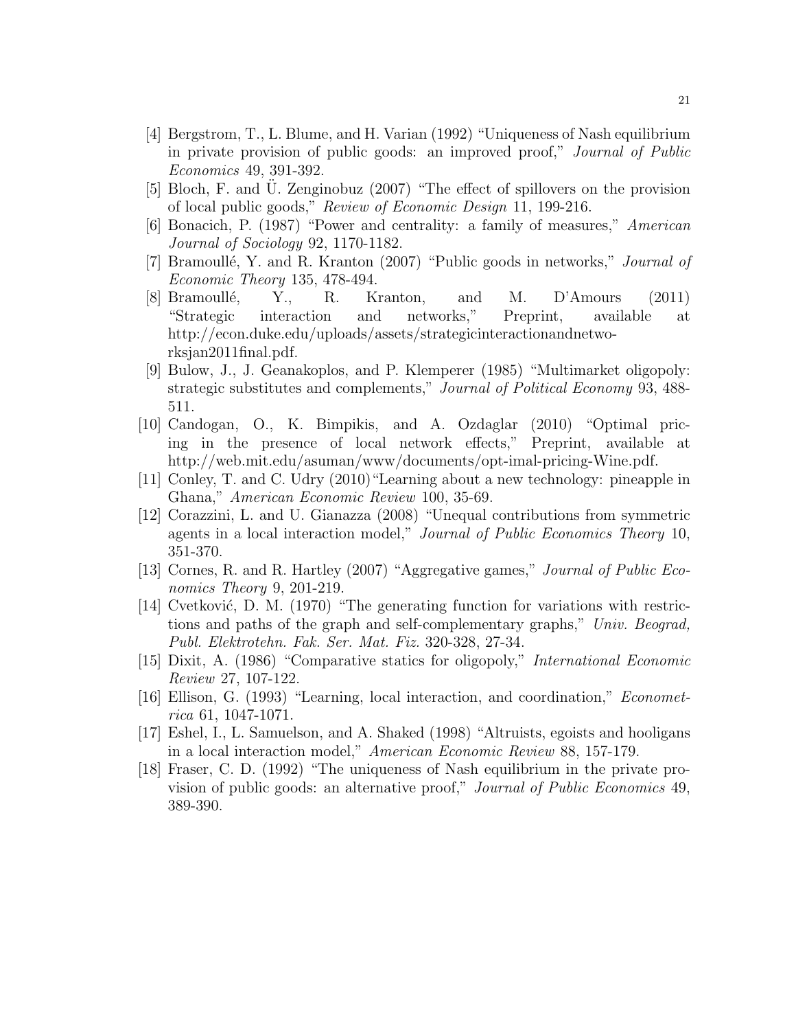- [4] Bergstrom, T., L. Blume, and H. Varian (1992) "Uniqueness of Nash equilibrium in private provision of public goods: an improved proof," *Journal of Public Economics* 49, 391-392.
- [5] Bloch, F. and U. Zenginobuz  $(2007)$  "The effect of spillovers on the provision of local public goods," *Review of Economic Design* 11, 199-216.
- [6] Bonacich, P. (1987) "Power and centrality: a family of measures," *American Journal of Sociology* 92, 1170-1182.
- [7] Bramoull´e, Y. and R. Kranton (2007) "Public goods in networks," *Journal of Economic Theory* 135, 478-494.
- [8] Bramoull´e, Y., R. Kranton, and M. D'Amours (2011) "Strategic interaction and networks," Preprint, available at http://econ.duke.edu/uploads/assets/strategicinteractionandnetworksjan2011final.pdf.
- [9] Bulow, J., J. Geanakoplos, and P. Klemperer (1985) "Multimarket oligopoly: strategic substitutes and complements," *Journal of Political Economy* 93, 488- 511.
- [10] Candogan, O., K. Bimpikis, and A. Ozdaglar (2010) "Optimal pricing in the presence of local network effects," Preprint, available at http://web.mit.edu/asuman/www/documents/opt-imal-pricing-Wine.pdf.
- [11] Conley, T. and C. Udry (2010)"Learning about a new technology: pineapple in Ghana," *American Economic Review* 100, 35-69.
- [12] Corazzini, L. and U. Gianazza (2008) "Unequal contributions from symmetric agents in a local interaction model," *Journal of Public Economics Theory* 10, 351-370.
- [13] Cornes, R. and R. Hartley (2007) "Aggregative games," *Journal of Public Economics Theory* 9, 201-219.
- [14] Cvetković, D. M. (1970) "The generating function for variations with restrictions and paths of the graph and self-complementary graphs," *Univ. Beograd, Publ. Elektrotehn. Fak. Ser. Mat. Fiz.* 320-328, 27-34.
- [15] Dixit, A. (1986) "Comparative statics for oligopoly," *International Economic Review* 27, 107-122.
- [16] Ellison, G. (1993) "Learning, local interaction, and coordination," *Econometrica* 61, 1047-1071.
- [17] Eshel, I., L. Samuelson, and A. Shaked (1998) "Altruists, egoists and hooligans in a local interaction model," *American Economic Review* 88, 157-179.
- [18] Fraser, C. D. (1992) "The uniqueness of Nash equilibrium in the private provision of public goods: an alternative proof," *Journal of Public Economics* 49, 389-390.